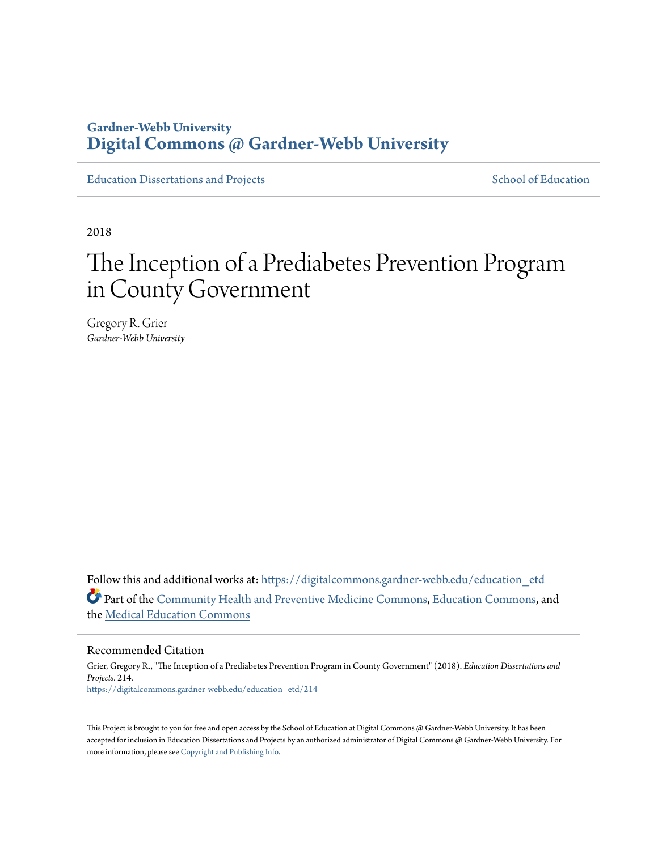# **Gardner-Webb University [Digital Commons @ Gardner-Webb University](https://digitalcommons.gardner-webb.edu?utm_source=digitalcommons.gardner-webb.edu%2Feducation_etd%2F214&utm_medium=PDF&utm_campaign=PDFCoverPages)**

[Education Dissertations and Projects](https://digitalcommons.gardner-webb.edu/education_etd?utm_source=digitalcommons.gardner-webb.edu%2Feducation_etd%2F214&utm_medium=PDF&utm_campaign=PDFCoverPages) [School of Education](https://digitalcommons.gardner-webb.edu/education?utm_source=digitalcommons.gardner-webb.edu%2Feducation_etd%2F214&utm_medium=PDF&utm_campaign=PDFCoverPages)

2018

# The Inception of a Prediabetes Prevention Program in County Government

Gregory R. Grier *Gardner-Webb University*

Follow this and additional works at: [https://digitalcommons.gardner-webb.edu/education\\_etd](https://digitalcommons.gardner-webb.edu/education_etd?utm_source=digitalcommons.gardner-webb.edu%2Feducation_etd%2F214&utm_medium=PDF&utm_campaign=PDFCoverPages) Part of the [Community Health and Preventive Medicine Commons,](http://network.bepress.com/hgg/discipline/744?utm_source=digitalcommons.gardner-webb.edu%2Feducation_etd%2F214&utm_medium=PDF&utm_campaign=PDFCoverPages) [Education Commons,](http://network.bepress.com/hgg/discipline/784?utm_source=digitalcommons.gardner-webb.edu%2Feducation_etd%2F214&utm_medium=PDF&utm_campaign=PDFCoverPages) and the [Medical Education Commons](http://network.bepress.com/hgg/discipline/1125?utm_source=digitalcommons.gardner-webb.edu%2Feducation_etd%2F214&utm_medium=PDF&utm_campaign=PDFCoverPages)

#### Recommended Citation

Grier, Gregory R., "The Inception of a Prediabetes Prevention Program in County Government" (2018). *Education Dissertations and Projects*. 214. [https://digitalcommons.gardner-webb.edu/education\\_etd/214](https://digitalcommons.gardner-webb.edu/education_etd/214?utm_source=digitalcommons.gardner-webb.edu%2Feducation_etd%2F214&utm_medium=PDF&utm_campaign=PDFCoverPages)

This Project is brought to you for free and open access by the School of Education at Digital Commons @ Gardner-Webb University. It has been accepted for inclusion in Education Dissertations and Projects by an authorized administrator of Digital Commons @ Gardner-Webb University. For more information, please see [Copyright and Publishing Info](https://digitalcommons.gardner-webb.edu/copyright_publishing.html).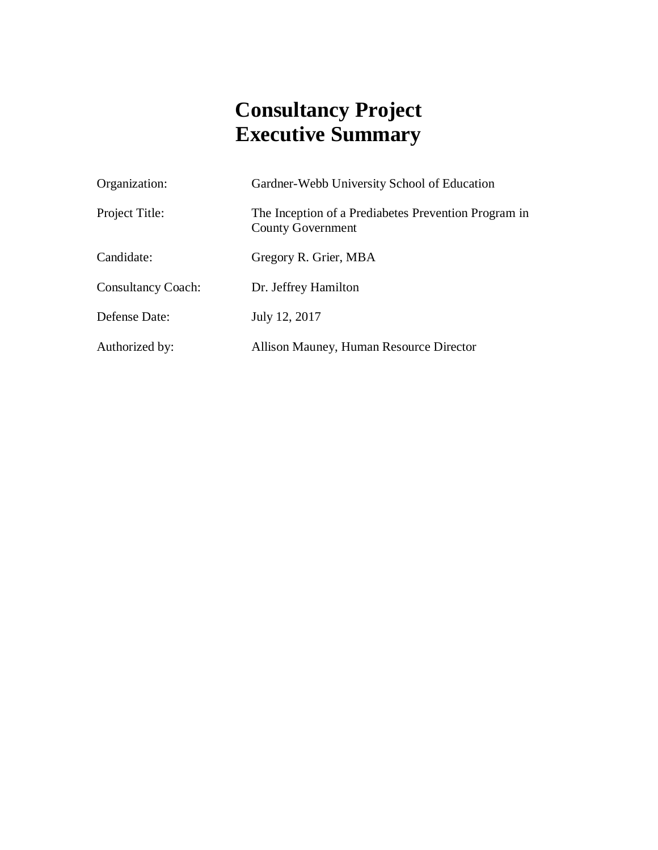# **Consultancy Project Executive Summary**

| Organization:             | Gardner-Webb University School of Education                                      |  |  |  |
|---------------------------|----------------------------------------------------------------------------------|--|--|--|
| Project Title:            | The Inception of a Prediabetes Prevention Program in<br><b>County Government</b> |  |  |  |
| Candidate:                | Gregory R. Grier, MBA                                                            |  |  |  |
| <b>Consultancy Coach:</b> | Dr. Jeffrey Hamilton                                                             |  |  |  |
| Defense Date:             | July 12, 2017                                                                    |  |  |  |
| Authorized by:            | Allison Mauney, Human Resource Director                                          |  |  |  |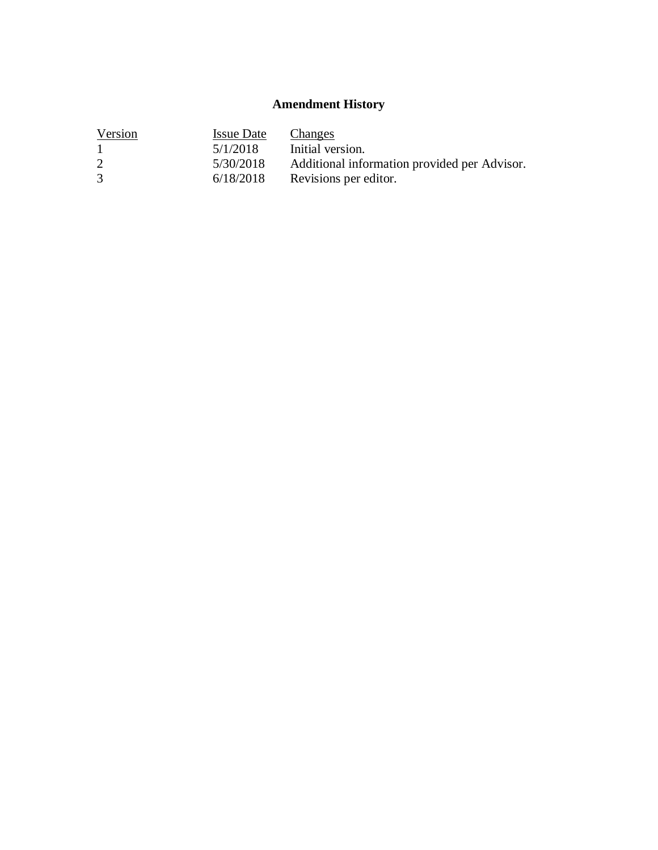# **Amendment History**

| Version | <b>Issue Date</b> | Changes                                      |
|---------|-------------------|----------------------------------------------|
|         | 5/1/2018          | Initial version.                             |
| 2       | 5/30/2018         | Additional information provided per Advisor. |
| 3       | 6/18/2018         | Revisions per editor.                        |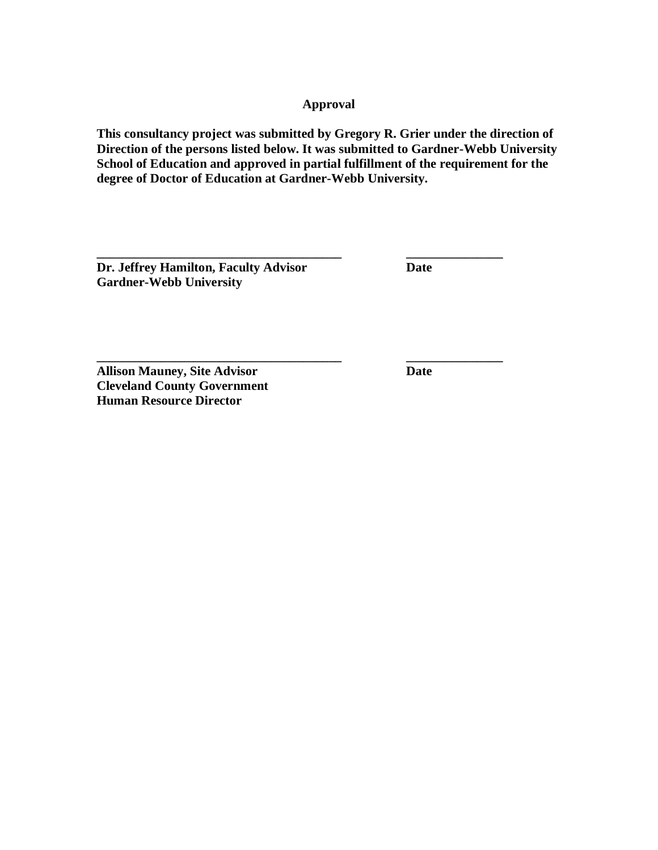**Approval**

**This consultancy project was submitted by Gregory R. Grier under the direction of Direction of the persons listed below. It was submitted to Gardner-Webb University School of Education and approved in partial fulfillment of the requirement for the degree of Doctor of Education at Gardner-Webb University.**

**\_\_\_\_\_\_\_\_\_\_\_\_\_\_\_\_\_\_\_\_\_\_\_\_\_\_\_\_\_\_\_\_\_\_\_\_\_\_ \_\_\_\_\_\_\_\_\_\_\_\_\_\_\_**

**\_\_\_\_\_\_\_\_\_\_\_\_\_\_\_\_\_\_\_\_\_\_\_\_\_\_\_\_\_\_\_\_\_\_\_\_\_\_ \_\_\_\_\_\_\_\_\_\_\_\_\_\_\_ Dr. Jeffrey Hamilton, Faculty Advisor Date Gardner-Webb University**

**Allison Mauney, Site Advisor Date Cleveland County Government Human Resource Director**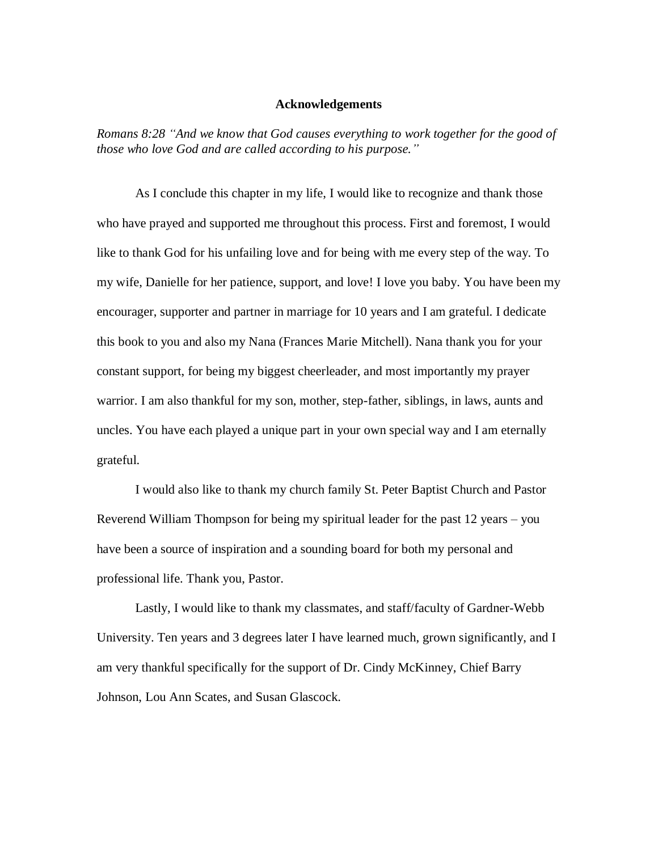#### **Acknowledgements**

*Romans 8:28 "And we know that God causes everything to work together for the good of those who love God and are called according to his purpose."*

As I conclude this chapter in my life, I would like to recognize and thank those who have prayed and supported me throughout this process. First and foremost, I would like to thank God for his unfailing love and for being with me every step of the way. To my wife, Danielle for her patience, support, and love! I love you baby. You have been my encourager, supporter and partner in marriage for 10 years and I am grateful. I dedicate this book to you and also my Nana (Frances Marie Mitchell). Nana thank you for your constant support, for being my biggest cheerleader, and most importantly my prayer warrior. I am also thankful for my son, mother, step-father, siblings, in laws, aunts and uncles. You have each played a unique part in your own special way and I am eternally grateful.

I would also like to thank my church family St. Peter Baptist Church and Pastor Reverend William Thompson for being my spiritual leader for the past 12 years – you have been a source of inspiration and a sounding board for both my personal and professional life. Thank you, Pastor.

Lastly, I would like to thank my classmates, and staff/faculty of Gardner-Webb University. Ten years and 3 degrees later I have learned much, grown significantly, and I am very thankful specifically for the support of Dr. Cindy McKinney, Chief Barry Johnson, Lou Ann Scates, and Susan Glascock.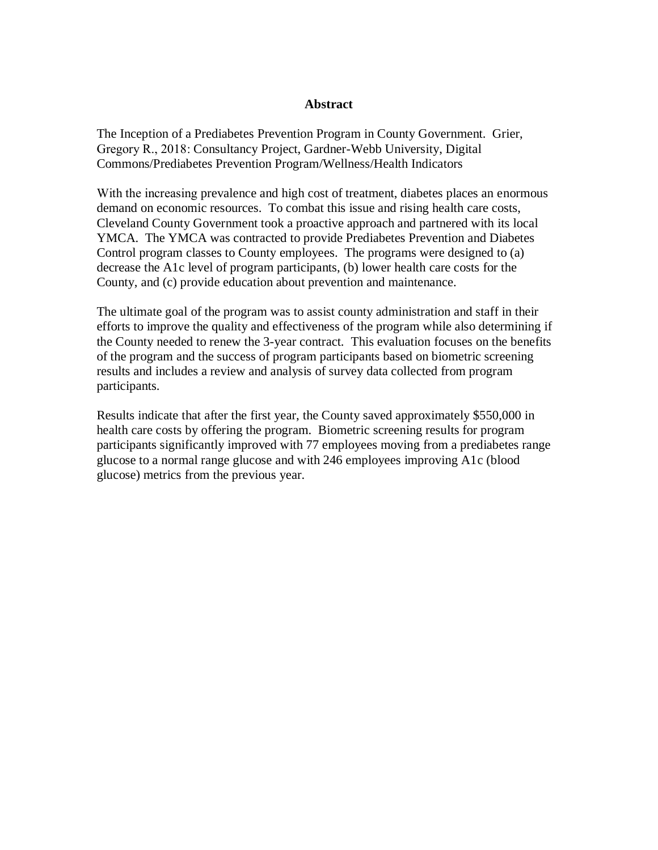#### **Abstract**

The Inception of a Prediabetes Prevention Program in County Government. Grier, Gregory R., 2018: Consultancy Project, Gardner-Webb University, Digital Commons/Prediabetes Prevention Program/Wellness/Health Indicators

With the increasing prevalence and high cost of treatment, diabetes places an enormous demand on economic resources. To combat this issue and rising health care costs, Cleveland County Government took a proactive approach and partnered with its local YMCA. The YMCA was contracted to provide Prediabetes Prevention and Diabetes Control program classes to County employees. The programs were designed to (a) decrease the A1c level of program participants, (b) lower health care costs for the County, and (c) provide education about prevention and maintenance.

The ultimate goal of the program was to assist county administration and staff in their efforts to improve the quality and effectiveness of the program while also determining if the County needed to renew the 3-year contract. This evaluation focuses on the benefits of the program and the success of program participants based on biometric screening results and includes a review and analysis of survey data collected from program participants.

Results indicate that after the first year, the County saved approximately \$550,000 in health care costs by offering the program. Biometric screening results for program participants significantly improved with 77 employees moving from a prediabetes range glucose to a normal range glucose and with 246 employees improving A1c (blood glucose) metrics from the previous year.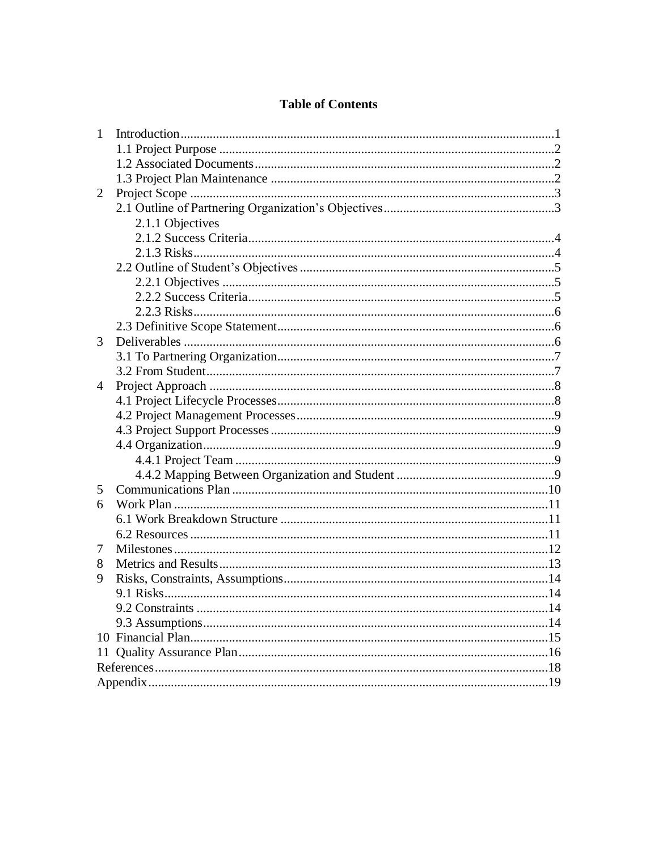# **Table of Contents**

| $\mathbf{1}$ |                  |  |
|--------------|------------------|--|
|              |                  |  |
|              |                  |  |
|              |                  |  |
| 2            |                  |  |
|              |                  |  |
|              | 2.1.1 Objectives |  |
|              |                  |  |
|              |                  |  |
|              |                  |  |
|              |                  |  |
|              |                  |  |
|              |                  |  |
|              |                  |  |
| 3            |                  |  |
|              |                  |  |
|              |                  |  |
| 4            |                  |  |
|              |                  |  |
|              |                  |  |
|              |                  |  |
|              |                  |  |
|              |                  |  |
|              |                  |  |
| 5            |                  |  |
| 6            |                  |  |
|              |                  |  |
|              |                  |  |
| 7            |                  |  |
| 8            |                  |  |
| 9            |                  |  |
|              |                  |  |
|              |                  |  |
|              |                  |  |
|              |                  |  |
|              |                  |  |
|              |                  |  |
|              |                  |  |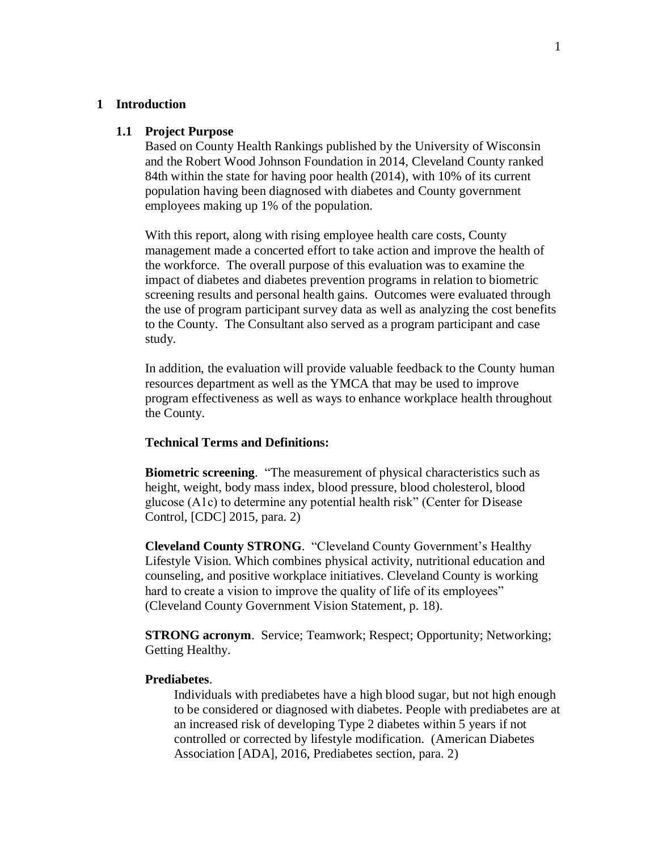#### **1 Introduction**

#### **1.1 Project Purpose**

Based on County Health Rankings published by the University of Wisconsin and the Robert Wood Johnson Foundation in 2014, Cleveland County ranked 84th within the state for having poor health (2014), with 10% of its current population having been diagnosed with diabetes and County government employees making up 1% of the population.

With this report, along with rising employee health care costs, County management made a concerted effort to take action and improve the health of the workforce. The overall purpose of this evaluation was to examine the impact of diabetes and diabetes prevention programs in relation to biometric screening results and personal health gains. Outcomes were evaluated through the use of program participant survey data as well as analyzing the cost benefits to the County. The Consultant also served as a program participant and case study.

In addition, the evaluation will provide valuable feedback to the County human resources department as well as the YMCA that may be used to improve program effectiveness as well as ways to enhance workplace health throughout the County.

#### **Technical Terms and Definitions:**

**Biometric screening**. "The measurement of physical characteristics such as height, weight, body mass index, blood pressure, blood cholesterol, blood glucose (A1c) to determine any potential health risk" (Center for Disease Control, [CDC] 2015, para. 2)

**Cleveland County STRONG**. "Cleveland County Government's Healthy Lifestyle Vision. Which combines physical activity, nutritional education and counseling, and positive workplace initiatives. Cleveland County is working hard to create a vision to improve the quality of life of its employees" (Cleveland County Government Vision Statement, p. 18).

**STRONG acronym**. Service; Teamwork; Respect; Opportunity; Networking; Getting Healthy.

#### **Prediabetes**.

Individuals with prediabetes have a high blood sugar, but not high enough to be considered or diagnosed with diabetes. People with prediabetes are at an increased risk of developing Type 2 diabetes within 5 years if not controlled or corrected by lifestyle modification. (American Diabetes Association [ADA], 2016, Prediabetes section, para. 2)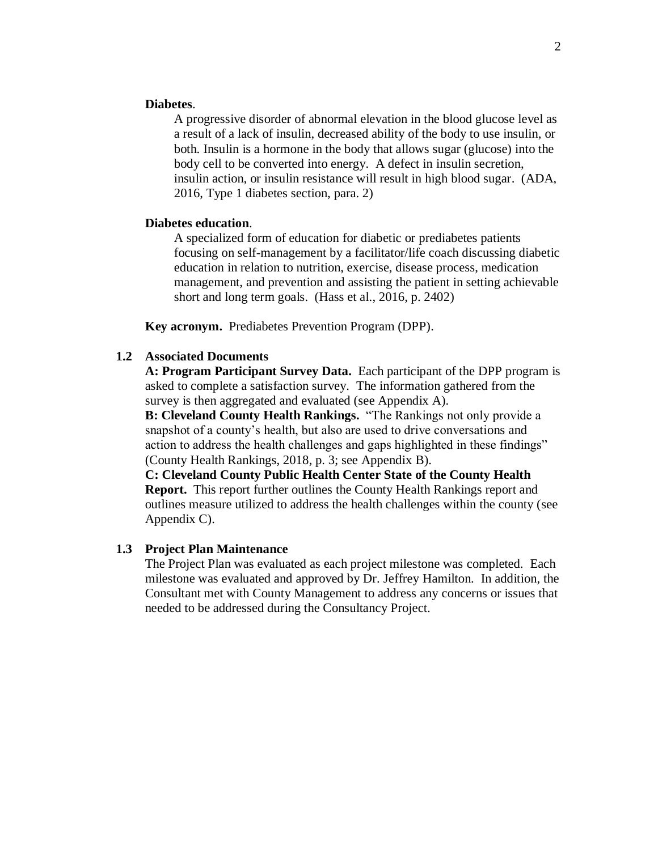#### **Diabetes**.

A progressive disorder of abnormal elevation in the blood glucose level as a result of a lack of insulin, decreased ability of the body to use insulin, or both. Insulin is a hormone in the body that allows sugar (glucose) into the body cell to be converted into energy. A defect in insulin secretion, insulin action, or insulin resistance will result in high blood sugar. (ADA, 2016, Type 1 diabetes section, para. 2)

#### **Diabetes education**.

A specialized form of education for diabetic or prediabetes patients focusing on self-management by a facilitator/life coach discussing diabetic education in relation to nutrition, exercise, disease process, medication management, and prevention and assisting the patient in setting achievable short and long term goals. (Hass et al., 2016, p. 2402)

**Key acronym.** Prediabetes Prevention Program (DPP).

#### **1.2 Associated Documents**

**A: Program Participant Survey Data.** Each participant of the DPP program is asked to complete a satisfaction survey. The information gathered from the survey is then aggregated and evaluated (see Appendix A).

**B: Cleveland County Health Rankings.** "The Rankings not only provide a snapshot of a county's health, but also are used to drive conversations and action to address the health challenges and gaps highlighted in these findings" (County Health Rankings, 2018, p. 3; see Appendix B).

**C: Cleveland County Public Health Center State of the County Health Report.** This report further outlines the County Health Rankings report and outlines measure utilized to address the health challenges within the county (see Appendix C).

#### **1.3 Project Plan Maintenance**

The Project Plan was evaluated as each project milestone was completed. Each milestone was evaluated and approved by Dr. Jeffrey Hamilton. In addition, the Consultant met with County Management to address any concerns or issues that needed to be addressed during the Consultancy Project.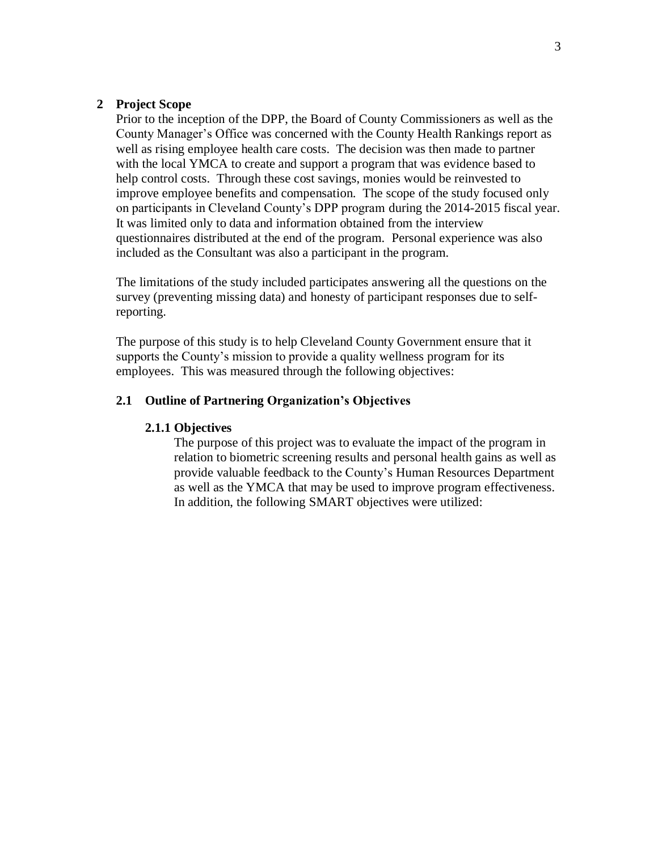#### **2 Project Scope**

Prior to the inception of the DPP, the Board of County Commissioners as well as the County Manager's Office was concerned with the County Health Rankings report as well as rising employee health care costs. The decision was then made to partner with the local YMCA to create and support a program that was evidence based to help control costs. Through these cost savings, monies would be reinvested to improve employee benefits and compensation. The scope of the study focused only on participants in Cleveland County's DPP program during the 2014-2015 fiscal year. It was limited only to data and information obtained from the interview questionnaires distributed at the end of the program. Personal experience was also included as the Consultant was also a participant in the program.

The limitations of the study included participates answering all the questions on the survey (preventing missing data) and honesty of participant responses due to selfreporting.

The purpose of this study is to help Cleveland County Government ensure that it supports the County's mission to provide a quality wellness program for its employees. This was measured through the following objectives:

#### **2.1 Outline of Partnering Organization's Objectives**

#### **2.1.1 Objectives**

The purpose of this project was to evaluate the impact of the program in relation to biometric screening results and personal health gains as well as provide valuable feedback to the County's Human Resources Department as well as the YMCA that may be used to improve program effectiveness. In addition, the following SMART objectives were utilized: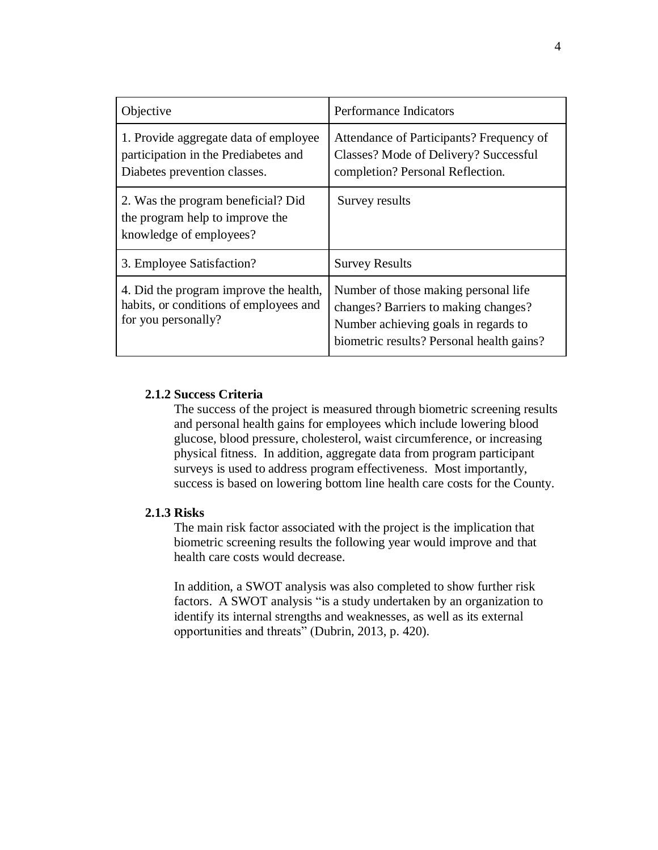| Objective                                                                                                     | <b>Performance Indicators</b>                                                                                                                                     |
|---------------------------------------------------------------------------------------------------------------|-------------------------------------------------------------------------------------------------------------------------------------------------------------------|
| 1. Provide aggregate data of employee<br>participation in the Prediabetes and<br>Diabetes prevention classes. | Attendance of Participants? Frequency of<br>Classes? Mode of Delivery? Successful<br>completion? Personal Reflection.                                             |
| 2. Was the program beneficial? Did<br>the program help to improve the<br>knowledge of employees?              | Survey results                                                                                                                                                    |
| 3. Employee Satisfaction?                                                                                     | <b>Survey Results</b>                                                                                                                                             |
| 4. Did the program improve the health,<br>habits, or conditions of employees and<br>for you personally?       | Number of those making personal life<br>changes? Barriers to making changes?<br>Number achieving goals in regards to<br>biometric results? Personal health gains? |

#### **2.1.2 Success Criteria**

The success of the project is measured through biometric screening results and personal health gains for employees which include lowering blood glucose, blood pressure, cholesterol, waist circumference, or increasing physical fitness. In addition, aggregate data from program participant surveys is used to address program effectiveness. Most importantly, success is based on lowering bottom line health care costs for the County.

#### **2.1.3 Risks**

The main risk factor associated with the project is the implication that biometric screening results the following year would improve and that health care costs would decrease.

In addition, a SWOT analysis was also completed to show further risk factors. A SWOT analysis "is a study undertaken by an organization to identify its internal strengths and weaknesses, as well as its external opportunities and threats" (Dubrin, 2013, p. 420).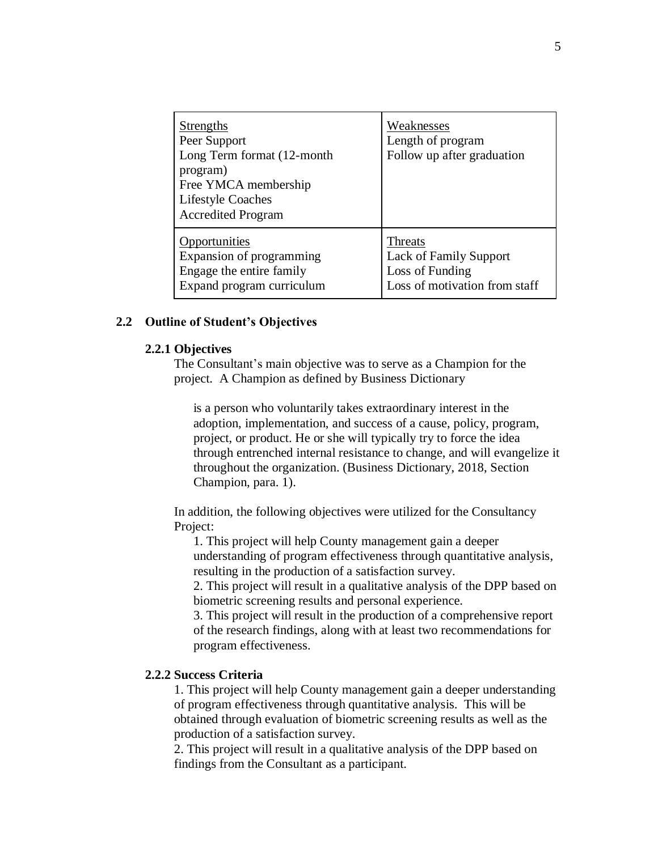| <b>Strengths</b><br>Peer Support<br>Long Term format (12-month<br>program)<br>Free YMCA membership<br><b>Lifestyle Coaches</b><br><b>Accredited Program</b> | Weaknesses<br>Length of program<br>Follow up after graduation |
|-------------------------------------------------------------------------------------------------------------------------------------------------------------|---------------------------------------------------------------|
| Opportunities                                                                                                                                               | Threats                                                       |
| Expansion of programming                                                                                                                                    | <b>Lack of Family Support</b>                                 |
| Engage the entire family                                                                                                                                    | Loss of Funding                                               |
| Expand program curriculum                                                                                                                                   | Loss of motivation from staff                                 |

#### **2.2 Outline of Student's Objectives**

#### **2.2.1 Objectives**

The Consultant's main objective was to serve as a Champion for the project. A Champion as defined by Business Dictionary

is a person who voluntarily takes extraordinary interest in the adoption, implementation, and success of a cause, policy, program, project, or product. He or she will typically try to force the idea through entrenched internal resistance to change, and will evangelize it throughout the organization. (Business Dictionary, 2018, Section Champion, para. 1).

In addition, the following objectives were utilized for the Consultancy Project:

1. This project will help County management gain a deeper understanding of program effectiveness through quantitative analysis, resulting in the production of a satisfaction survey.

2. This project will result in a qualitative analysis of the DPP based on biometric screening results and personal experience.

3. This project will result in the production of a comprehensive report of the research findings, along with at least two recommendations for program effectiveness.

#### **2.2.2 Success Criteria**

1. This project will help County management gain a deeper understanding of program effectiveness through quantitative analysis. This will be obtained through evaluation of biometric screening results as well as the production of a satisfaction survey.

2. This project will result in a qualitative analysis of the DPP based on findings from the Consultant as a participant.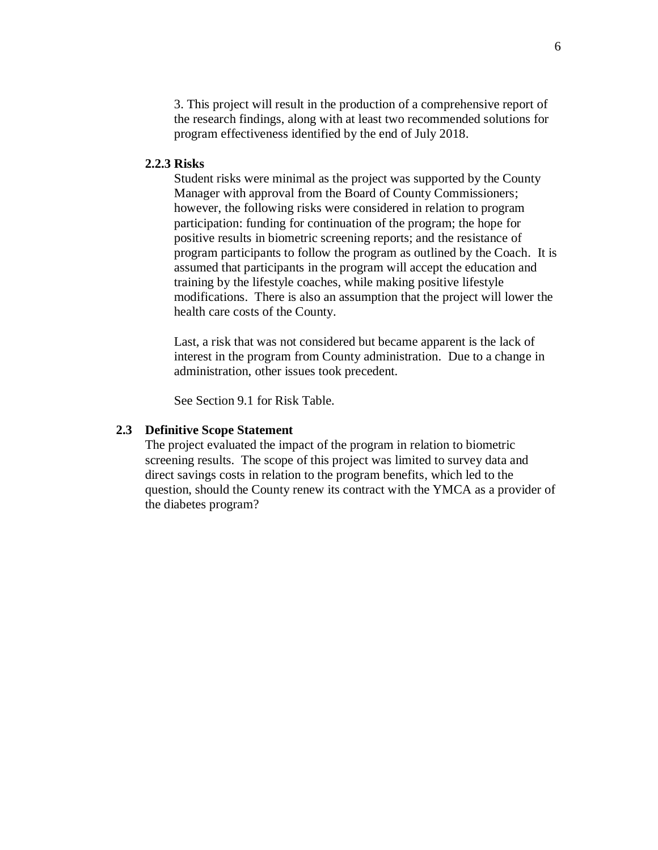3. This project will result in the production of a comprehensive report of the research findings, along with at least two recommended solutions for program effectiveness identified by the end of July 2018.

#### **2.2.3 Risks**

Student risks were minimal as the project was supported by the County Manager with approval from the Board of County Commissioners; however, the following risks were considered in relation to program participation: funding for continuation of the program; the hope for positive results in biometric screening reports; and the resistance of program participants to follow the program as outlined by the Coach. It is assumed that participants in the program will accept the education and training by the lifestyle coaches, while making positive lifestyle modifications. There is also an assumption that the project will lower the health care costs of the County.

Last, a risk that was not considered but became apparent is the lack of interest in the program from County administration. Due to a change in administration, other issues took precedent.

See Section 9.1 for Risk Table.

#### **2.3 Definitive Scope Statement**

The project evaluated the impact of the program in relation to biometric screening results. The scope of this project was limited to survey data and direct savings costs in relation to the program benefits, which led to the question, should the County renew its contract with the YMCA as a provider of the diabetes program?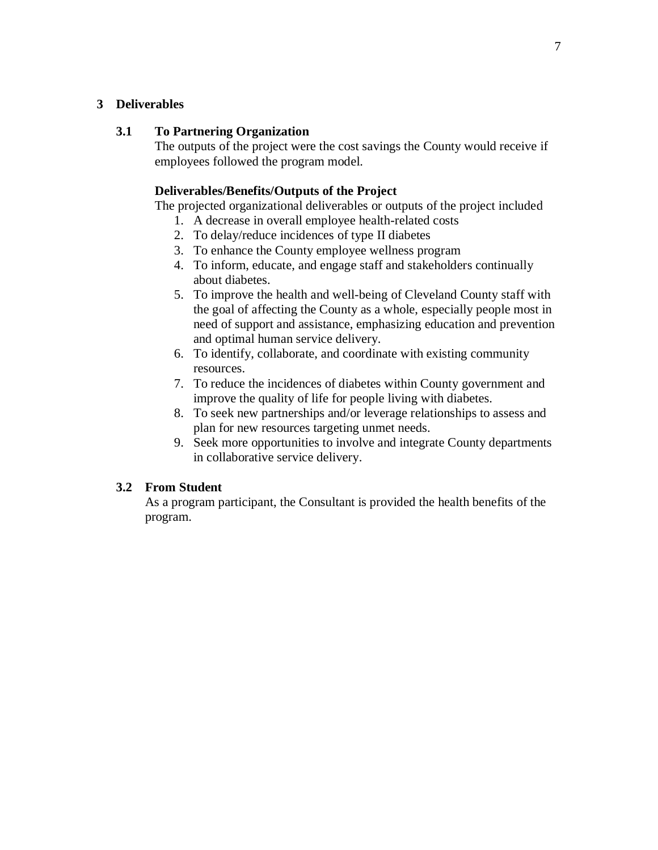#### **3 Deliverables**

#### **3.1 To Partnering Organization**

The outputs of the project were the cost savings the County would receive if employees followed the program model.

#### **Deliverables/Benefits/Outputs of the Project**

The projected organizational deliverables or outputs of the project included

- 1. A decrease in overall employee health-related costs
- 2. To delay/reduce incidences of type II diabetes
- 3. To enhance the County employee wellness program
- 4. To inform, educate, and engage staff and stakeholders continually about diabetes.
- 5. To improve the health and well-being of Cleveland County staff with the goal of affecting the County as a whole, especially people most in need of support and assistance, emphasizing education and prevention and optimal human service delivery.
- 6. To identify, collaborate, and coordinate with existing community resources.
- 7. To reduce the incidences of diabetes within County government and improve the quality of life for people living with diabetes.
- 8. To seek new partnerships and/or leverage relationships to assess and plan for new resources targeting unmet needs.
- 9. Seek more opportunities to involve and integrate County departments in collaborative service delivery.

## **3.2 From Student**

As a program participant, the Consultant is provided the health benefits of the program.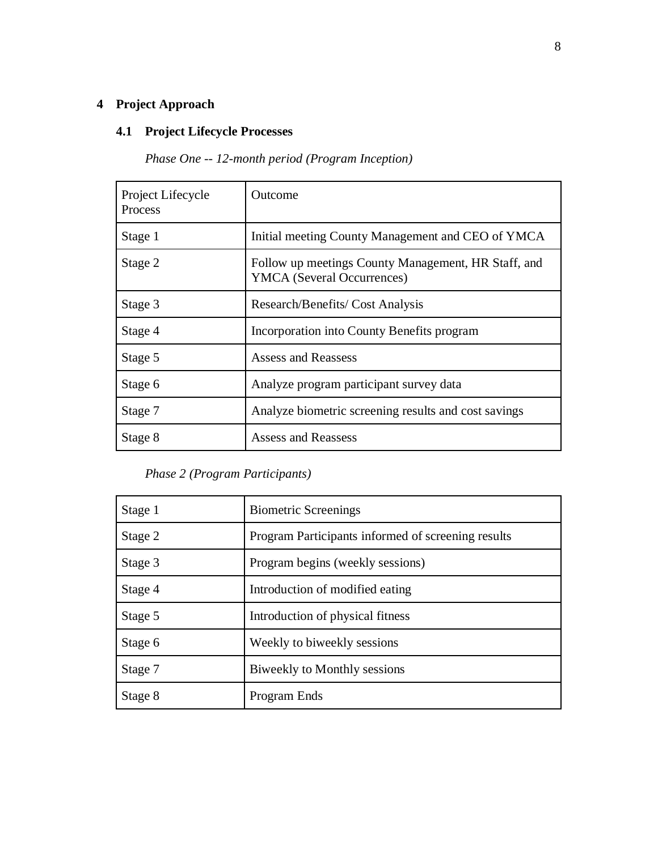# **4 Project Approach**

# **4.1 Project Lifecycle Processes**

# *Phase One -- 12-month period (Program Inception)*

| Project Lifecycle<br>Process | Outcome                                                                                  |
|------------------------------|------------------------------------------------------------------------------------------|
| Stage 1                      | Initial meeting County Management and CEO of YMCA                                        |
| Stage 2                      | Follow up meetings County Management, HR Staff, and<br><b>YMCA</b> (Several Occurrences) |
| Stage 3                      | Research/Benefits/Cost Analysis                                                          |
| Stage 4                      | Incorporation into County Benefits program                                               |
| Stage 5                      | Assess and Reassess                                                                      |
| Stage 6                      | Analyze program participant survey data                                                  |
| Stage 7                      | Analyze biometric screening results and cost savings                                     |
| Stage 8                      | Assess and Reassess                                                                      |

# *Phase 2 (Program Participants)*

| Stage 1 | <b>Biometric Screenings</b>                        |
|---------|----------------------------------------------------|
| Stage 2 | Program Participants informed of screening results |
| Stage 3 | Program begins (weekly sessions)                   |
| Stage 4 | Introduction of modified eating                    |
| Stage 5 | Introduction of physical fitness                   |
| Stage 6 | Weekly to biweekly sessions                        |
| Stage 7 | Biweekly to Monthly sessions                       |
| Stage 8 | Program Ends                                       |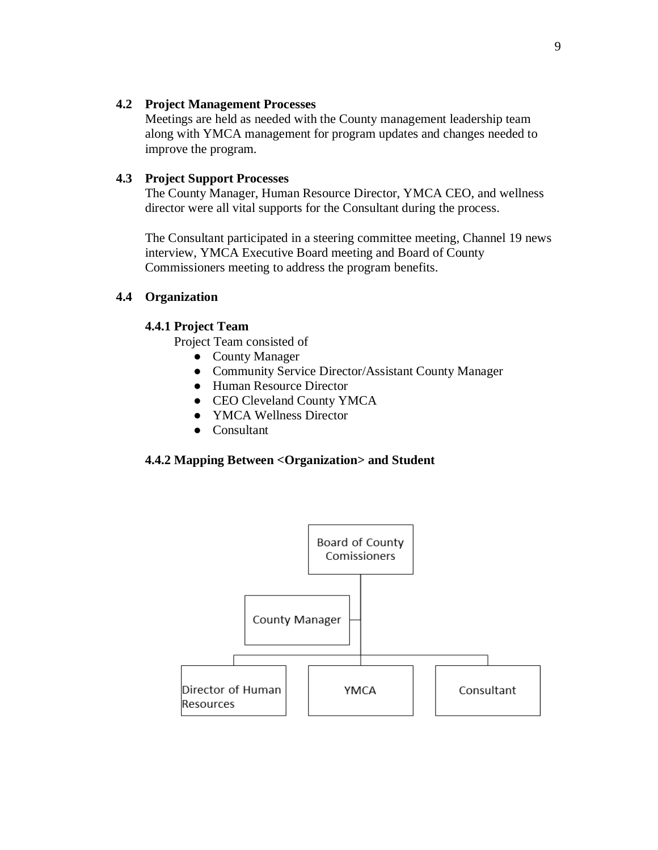#### **4.2 Project Management Processes**

Meetings are held as needed with the County management leadership team along with YMCA management for program updates and changes needed to improve the program.

#### **4.3 Project Support Processes**

The County Manager, Human Resource Director, YMCA CEO, and wellness director were all vital supports for the Consultant during the process.

The Consultant participated in a steering committee meeting, Channel 19 news interview, YMCA Executive Board meeting and Board of County Commissioners meeting to address the program benefits.

#### **4.4 Organization**

#### **4.4.1 Project Team**

Project Team consisted of

- County Manager
- Community Service Director/Assistant County Manager
- Human Resource Director
- CEO Cleveland County YMCA
- YMCA Wellness Director
- Consultant

#### **4.4.2 Mapping Between <Organization> and Student**

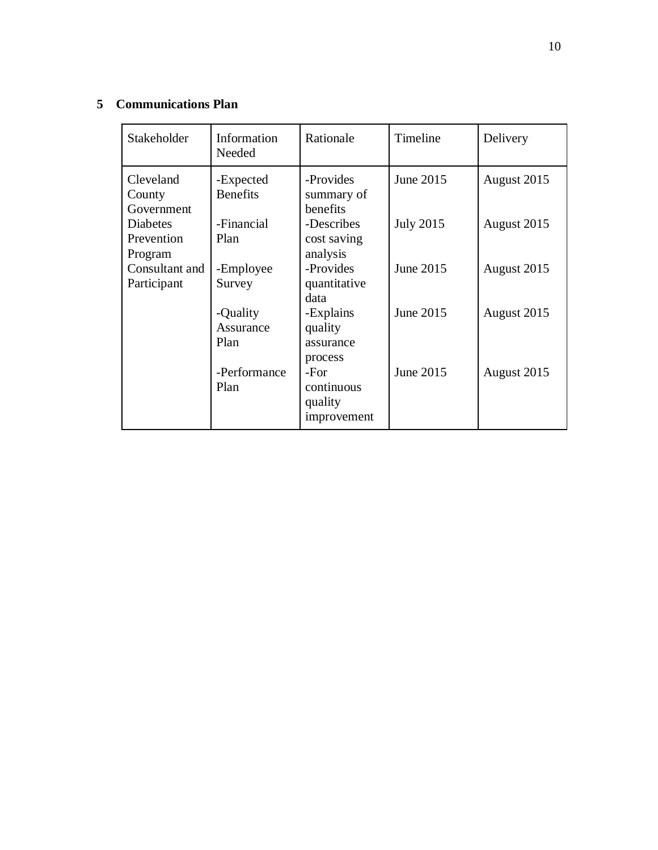# **5 Communications Plan**

| Stakeholder                                 | Information<br>Needed        | Rationale                             | Timeline         | Delivery    |
|---------------------------------------------|------------------------------|---------------------------------------|------------------|-------------|
| Cleveland<br>County                         | -Expected<br><b>Benefits</b> | -Provides<br>summary of               | June 2015        | August 2015 |
| Government<br><b>Diabetes</b><br>Prevention | -Financial<br>Plan           | benefits<br>-Describes<br>cost saving | <b>July 2015</b> | August 2015 |
| Program<br>Consultant and<br>Participant    | -Employee<br>Survey          | analysis<br>-Provides<br>quantitative | June 2015        | August 2015 |
|                                             | -Quality<br>Assurance        | data<br>-Explains<br>quality          | June 2015        | August 2015 |
|                                             | Plan<br>-Performance         | assurance<br>process<br>-For          | June 2015        | August 2015 |
|                                             | Plan                         | continuous<br>quality<br>improvement  |                  |             |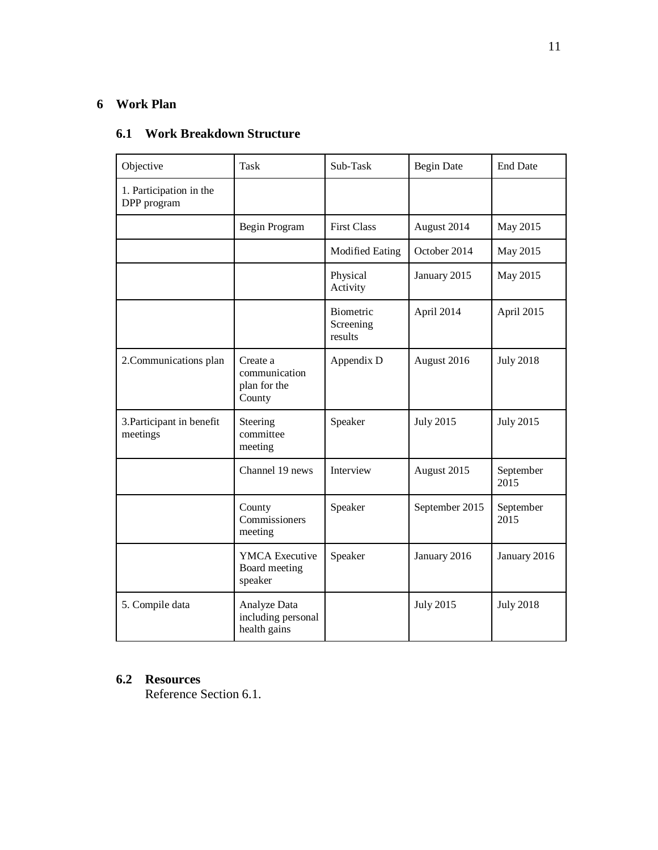# **6 Work Plan**

# **6.1 Work Breakdown Structure**

| Objective                              | <b>Task</b>                                         | Sub-Task                          | <b>Begin Date</b> | <b>End Date</b>   |
|----------------------------------------|-----------------------------------------------------|-----------------------------------|-------------------|-------------------|
| 1. Participation in the<br>DPP program |                                                     |                                   |                   |                   |
|                                        | Begin Program                                       | <b>First Class</b>                | August 2014       | May 2015          |
|                                        |                                                     | <b>Modified Eating</b>            | October 2014      | May 2015          |
|                                        |                                                     | Physical<br>Activity              | January 2015      | May 2015          |
|                                        |                                                     | Biometric<br>Screening<br>results | April 2014        | April 2015        |
| 2. Communications plan                 | Create a<br>communication<br>plan for the<br>County | Appendix D                        | August 2016       | <b>July 2018</b>  |
| 3. Participant in benefit<br>meetings  | Steering<br>committee<br>meeting                    | Speaker                           | <b>July 2015</b>  | <b>July 2015</b>  |
|                                        | Channel 19 news                                     | Interview                         | August 2015       | September<br>2015 |
|                                        | County<br>Commissioners<br>meeting                  | Speaker                           | September 2015    | September<br>2015 |
|                                        | <b>YMCA</b> Executive<br>Board meeting<br>speaker   | Speaker                           | January 2016      | January 2016      |
| 5. Compile data                        | Analyze Data<br>including personal<br>health gains  |                                   | <b>July 2015</b>  | <b>July 2018</b>  |

# **6.2 Resources**

Reference Section 6.1.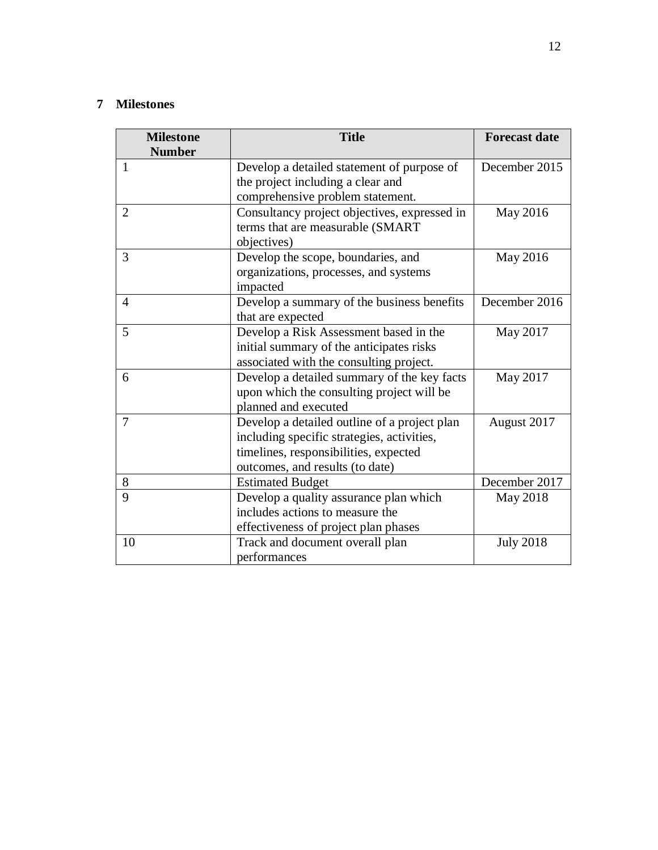# **7 Milestones**

| <b>Milestone</b> | <b>Title</b>                                 | <b>Forecast date</b> |
|------------------|----------------------------------------------|----------------------|
| <b>Number</b>    |                                              |                      |
| $\mathbf{1}$     | Develop a detailed statement of purpose of   | December 2015        |
|                  | the project including a clear and            |                      |
|                  | comprehensive problem statement.             |                      |
| $\overline{2}$   | Consultancy project objectives, expressed in | May 2016             |
|                  | terms that are measurable (SMART             |                      |
|                  | objectives)                                  |                      |
| 3                | Develop the scope, boundaries, and           | May 2016             |
|                  | organizations, processes, and systems        |                      |
|                  | impacted                                     |                      |
| $\overline{4}$   | Develop a summary of the business benefits   | December 2016        |
|                  | that are expected                            |                      |
| 5                | Develop a Risk Assessment based in the       | May 2017             |
|                  | initial summary of the anticipates risks     |                      |
|                  | associated with the consulting project.      |                      |
| 6                | Develop a detailed summary of the key facts  | May 2017             |
|                  | upon which the consulting project will be    |                      |
|                  | planned and executed                         |                      |
| 7                | Develop a detailed outline of a project plan | August 2017          |
|                  | including specific strategies, activities,   |                      |
|                  | timelines, responsibilities, expected        |                      |
|                  | outcomes, and results (to date)              |                      |
| 8                | <b>Estimated Budget</b>                      | December 2017        |
| 9                | Develop a quality assurance plan which       | May 2018             |
|                  | includes actions to measure the              |                      |
|                  | effectiveness of project plan phases         |                      |
| 10               | Track and document overall plan              | <b>July 2018</b>     |
|                  | performances                                 |                      |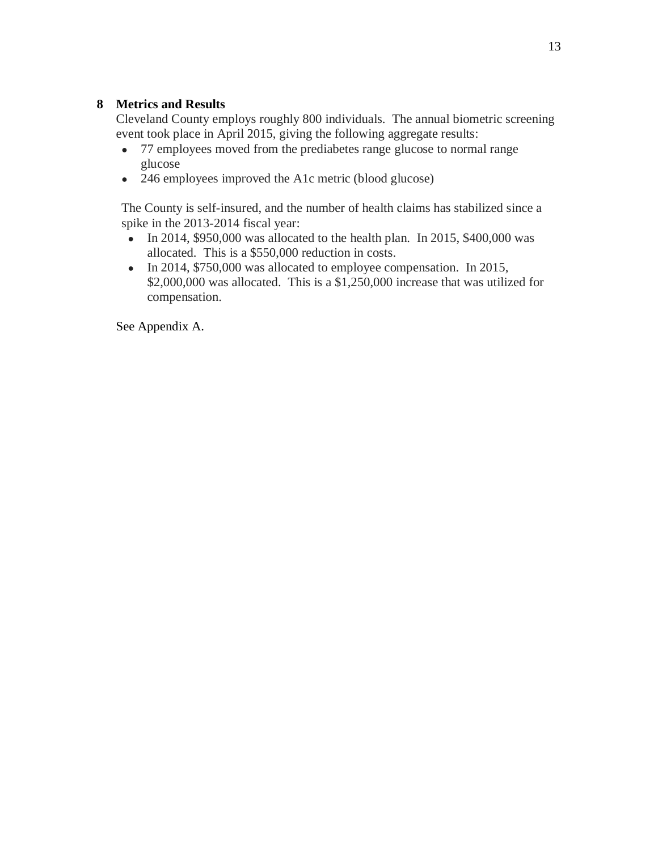# **8 Metrics and Results**

Cleveland County employs roughly 800 individuals. The annual biometric screening event took place in April 2015, giving the following aggregate results:

- 77 employees moved from the prediabetes range glucose to normal range glucose
- 246 employees improved the A1c metric (blood glucose)

The County is self-insured, and the number of health claims has stabilized since a spike in the 2013-2014 fiscal year:

- In 2014, \$950,000 was allocated to the health plan. In 2015, \$400,000 was allocated. This is a \$550,000 reduction in costs.
- In 2014, \$750,000 was allocated to employee compensation. In 2015, \$2,000,000 was allocated. This is a \$1,250,000 increase that was utilized for compensation.

See Appendix A.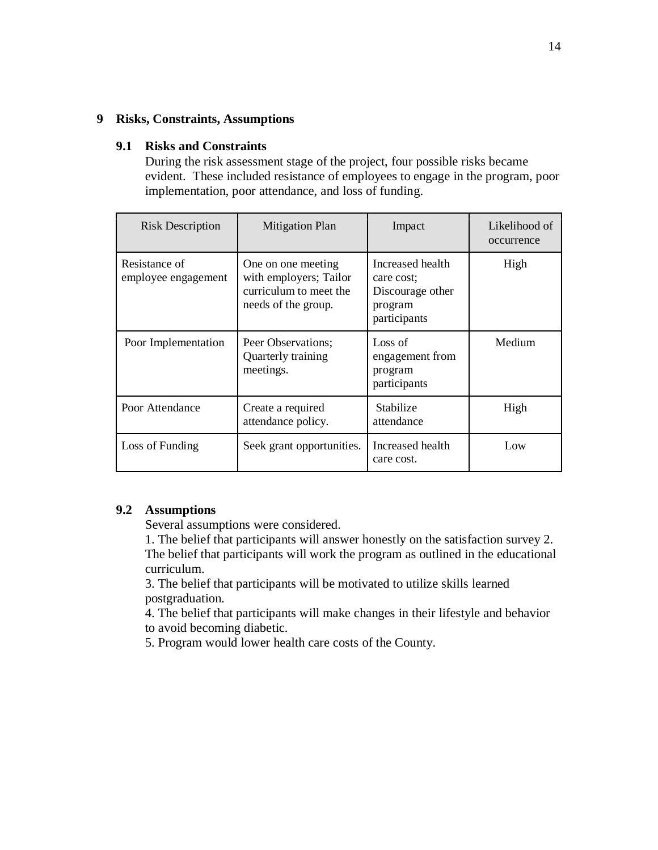#### **9 Risks, Constraints, Assumptions**

#### **9.1 Risks and Constraints**

During the risk assessment stage of the project, four possible risks became evident. These included resistance of employees to engage in the program, poor implementation, poor attendance, and loss of funding.

| <b>Risk Description</b>              | <b>Mitigation Plan</b><br>Impact                                                              |                                                                               | Likelihood of<br>occurrence |
|--------------------------------------|-----------------------------------------------------------------------------------------------|-------------------------------------------------------------------------------|-----------------------------|
| Resistance of<br>employee engagement | One on one meeting<br>with employers; Tailor<br>curriculum to meet the<br>needs of the group. | Increased health<br>care cost:<br>Discourage other<br>program<br>participants | High                        |
| Poor Implementation                  | Peer Observations;<br>Quarterly training<br>meetings.                                         | Loss of<br>engagement from<br>program<br>participants                         | Medium                      |
| Poor Attendance                      | Create a required<br>attendance policy.                                                       | Stabilize<br>attendance                                                       | High                        |
| Loss of Funding                      | Seek grant opportunities.                                                                     | Increased health<br>care cost.                                                | Low                         |

#### **9.2 Assumptions**

Several assumptions were considered.

1. The belief that participants will answer honestly on the satisfaction survey 2. The belief that participants will work the program as outlined in the educational curriculum.

3. The belief that participants will be motivated to utilize skills learned postgraduation.

4. The belief that participants will make changes in their lifestyle and behavior to avoid becoming diabetic.

5. Program would lower health care costs of the County.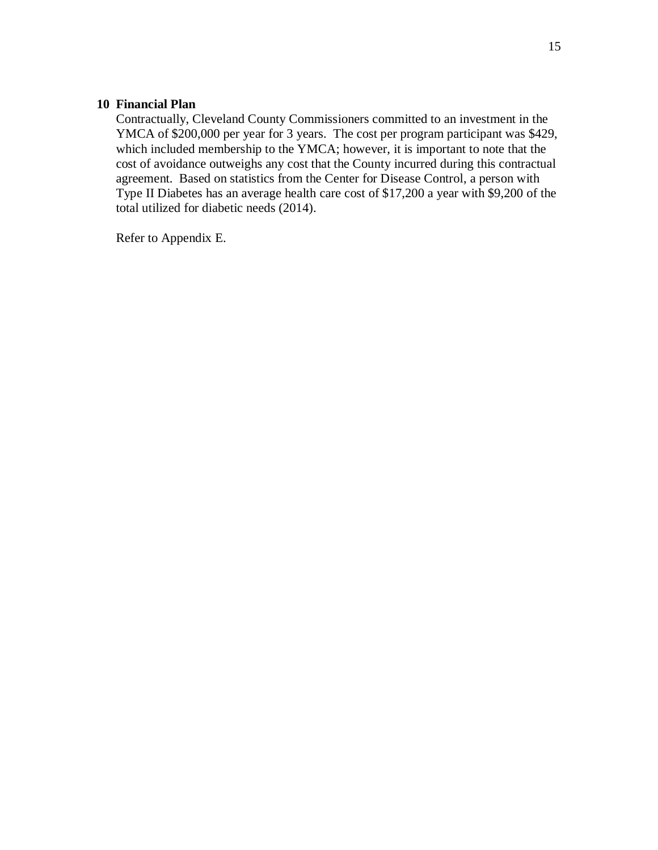#### **10 Financial Plan**

Contractually, Cleveland County Commissioners committed to an investment in the YMCA of \$200,000 per year for 3 years. The cost per program participant was \$429, which included membership to the YMCA; however, it is important to note that the cost of avoidance outweighs any cost that the County incurred during this contractual agreement. Based on statistics from the Center for Disease Control, a person with Type II Diabetes has an average health care cost of \$17,200 a year with \$9,200 of the total utilized for diabetic needs (2014).

Refer to Appendix E.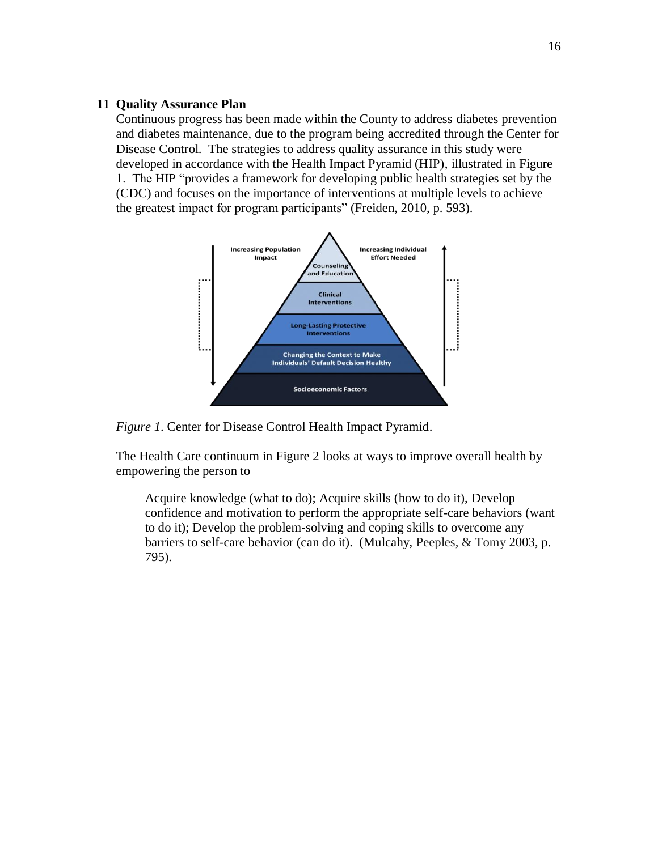#### **11 Quality Assurance Plan**

Continuous progress has been made within the County to address diabetes prevention and diabetes maintenance, due to the program being accredited through the Center for Disease Control. The strategies to address quality assurance in this study were developed in accordance with the Health Impact Pyramid (HIP), illustrated in Figure 1. The HIP "provides a framework for developing public health strategies set by the (CDC) and focuses on the importance of interventions at multiple levels to achieve the greatest impact for program participants" (Freiden, 2010, p. 593).





The Health Care continuum in Figure 2 looks at ways to improve overall health by empowering the person to

Acquire knowledge (what to do); Acquire skills (how to do it), Develop confidence and motivation to perform the appropriate self-care behaviors (want to do it); Develop the problem-solving and coping skills to overcome any barriers to self-care behavior (can do it). (Mulcahy, Peeples, & Tomy 2003, p. 795).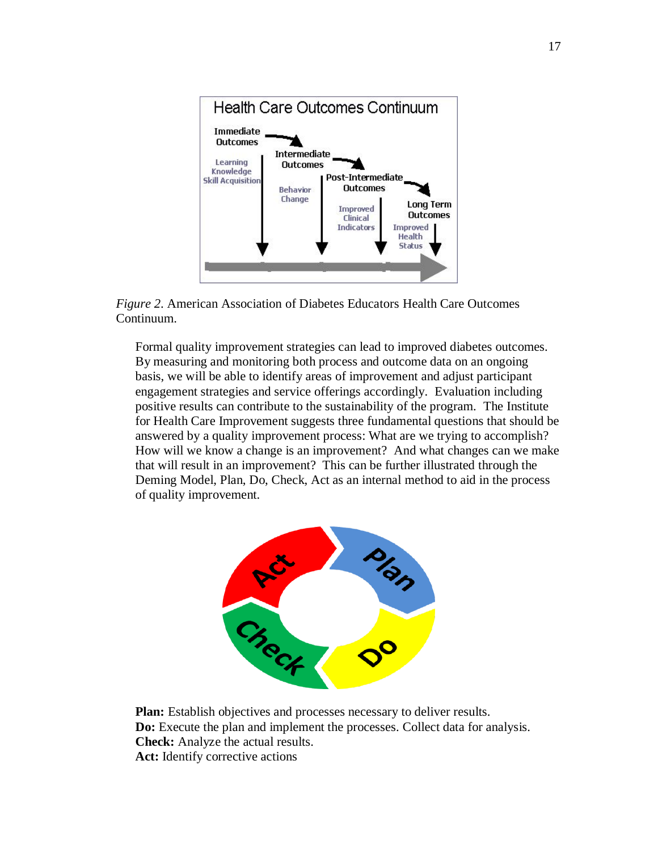

*Figure 2*. American Association of Diabetes Educators Health Care Outcomes Continuum.

Formal quality improvement strategies can lead to improved diabetes outcomes. By measuring and monitoring both process and outcome data on an ongoing basis, we will be able to identify areas of improvement and adjust participant engagement strategies and service offerings accordingly. Evaluation including positive results can contribute to the sustainability of the program. The Institute for Health Care Improvement suggests three fundamental questions that should be answered by a quality improvement process: What are we trying to accomplish? How will we know a change is an improvement? And what changes can we make that will result in an improvement? This can be further illustrated through the Deming Model, Plan, Do, Check, Act as an internal method to aid in the process of quality improvement.



**Plan:** Establish objectives and processes necessary to deliver results. **Do:** Execute the plan and implement the processes. Collect data for analysis. **Check:** Analyze the actual results. **Act:** Identify corrective actions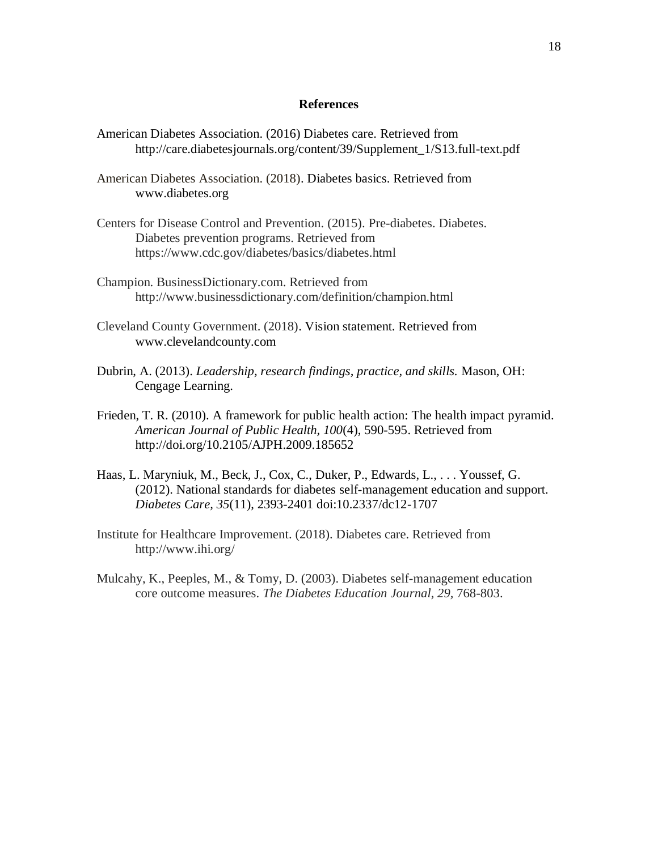#### **References**

- American Diabetes Association. (2016) Diabetes care. Retrieved from http://care.diabetesjournals.org/content/39/Supplement\_1/S13.full-text.pdf
- American Diabetes Association. (2018). Diabetes basics. Retrieved from [www.diabetes.org](http://www.diabetes.org/)
- Centers for Disease Control and Prevention. (2015). Pre-diabetes. Diabetes. Diabetes prevention programs. Retrieved from https://www.cdc.gov/diabetes/basics/diabetes.html
- Champion. BusinessDictionary.com. Retrieved from http://www.businessdictionary.com/definition/champion.html
- Cleveland County Government. (2018). Vision statement. Retrieved from [www.clevelandcounty.com](http://www.clevelandcounty.com/)
- Dubrin, A. (2013). *Leadership, research findings, practice, and skills.* Mason, OH: Cengage Learning.
- Frieden, T. R. (2010). A framework for public health action: The health impact pyramid. *American Journal of Public Health, 100*(4), 590-595. Retrieved from http://doi.org/10.2105/AJPH.2009.185652
- Haas, L. Maryniuk, M., Beck, J., Cox, C., Duker, P., Edwards, L., . . . Youssef, G. (2012). National standards for diabetes self-management education and support. *Diabetes Care, 35*(11), 2393-2401 doi:10.2337/dc12-1707
- Institute for Healthcare Improvement. (2018). Diabetes care. Retrieved from http://www.ihi.org/
- Mulcahy, K., Peeples, M., & Tomy, D. (2003). Diabetes self-management education core outcome measures. *The Diabetes Education Journal, 29,* 768-803.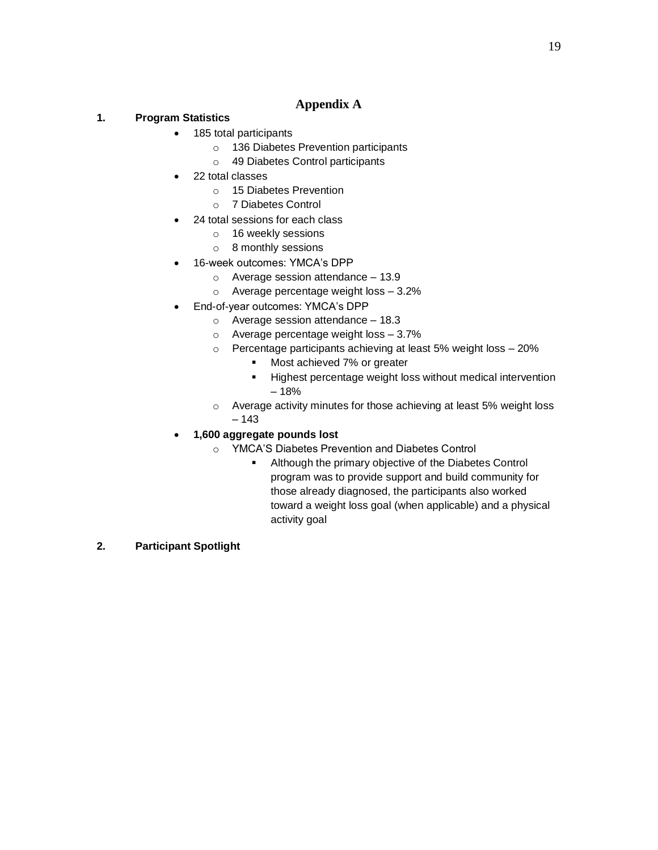#### **Appendix A**

### **1. Program Statistics**

- 185 total participants
	- o 136 Diabetes Prevention participants
	- o 49 Diabetes Control participants
- 22 total classes
	- o 15 Diabetes Prevention
	- o 7 Diabetes Control
- 24 total sessions for each class
	- o 16 weekly sessions
	- o 8 monthly sessions
- 16-week outcomes: YMCA's DPP
	- o Average session attendance 13.9
	- o Average percentage weight loss 3.2%
- End-of-year outcomes: YMCA's DPP
	- o Average session attendance 18.3
	- o Average percentage weight loss 3.7%
	- o Percentage participants achieving at least 5% weight loss 20%
		- Most achieved 7% or greater
		- Highest percentage weight loss without medical intervention – 18%
	- o Average activity minutes for those achieving at least 5% weight loss – 143
- **1,600 aggregate pounds lost**
	- o YMCA'S Diabetes Prevention and Diabetes Control
		- Although the primary objective of the Diabetes Control program was to provide support and build community for those already diagnosed, the participants also worked toward a weight loss goal (when applicable) and a physical activity goal
- **2. Participant Spotlight**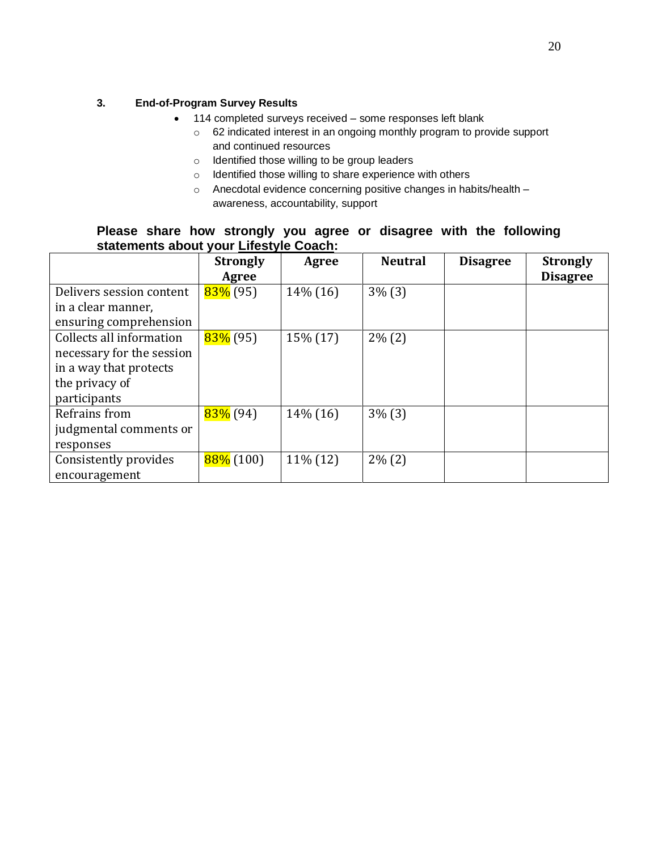#### **3. End-of-Program Survey Results**

- 114 completed surveys received some responses left blank
	- o 62 indicated interest in an ongoing monthly program to provide support and continued resources
	- o Identified those willing to be group leaders
	- o Identified those willing to share experience with others
	- o Anecdotal evidence concerning positive changes in habits/health awareness, accountability, support

### **Please share how strongly you agree or disagree with the following statements about your Lifestyle Coach:**

|                                                                                 | <b>Strongly</b><br>Agree | Agree       | <b>Neutral</b> | <b>Disagree</b> | <b>Strongly</b><br><b>Disagree</b> |
|---------------------------------------------------------------------------------|--------------------------|-------------|----------------|-----------------|------------------------------------|
| Delivers session content                                                        | $83\%$ (95)              | 14\% (16)   | $3\%$ $(3)$    |                 |                                    |
| in a clear manner,<br>ensuring comprehension                                    |                          |             |                |                 |                                    |
| Collects all information<br>necessary for the session<br>in a way that protects | $83\%$ (95)              | 15% (17)    | $2\%$ (2)      |                 |                                    |
| the privacy of<br>participants                                                  |                          |             |                |                 |                                    |
| Refrains from<br>judgmental comments or<br>responses                            | $83\%$ (94)              | $14\%$ (16) | $3\%$ $(3)$    |                 |                                    |
| Consistently provides<br>encouragement                                          | $88\%$ (100)             | 11% (12)    | $2\%$ (2)      |                 |                                    |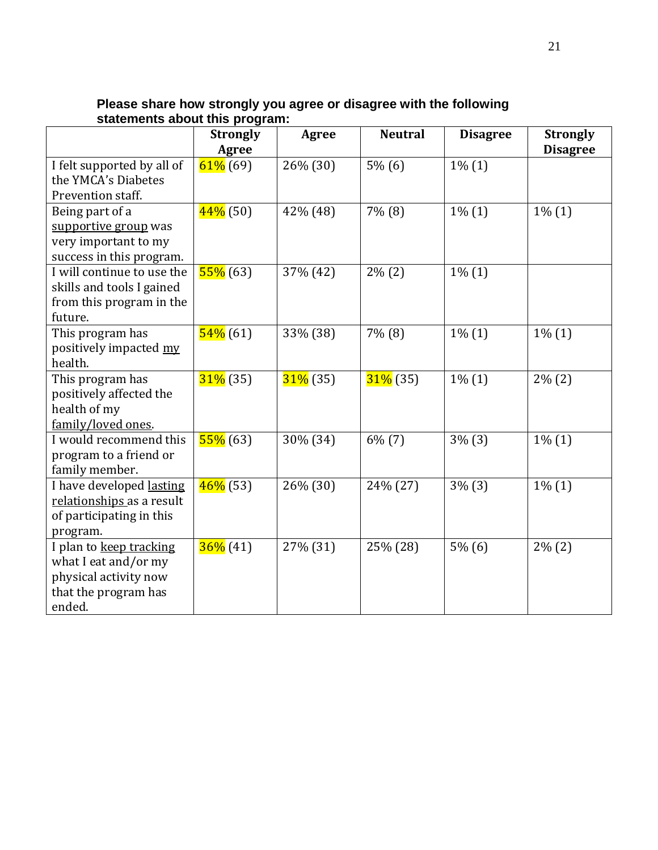|                            | <b>Strongly</b> | Agree       | <b>Neutral</b> | <b>Disagree</b> | <b>Strongly</b> |
|----------------------------|-----------------|-------------|----------------|-----------------|-----------------|
|                            | <b>Agree</b>    |             |                |                 | <b>Disagree</b> |
| I felt supported by all of | $61\%$ (69)     | 26% (30)    | $5\%$ (6)      | $1\%$ $(1)$     |                 |
| the YMCA's Diabetes        |                 |             |                |                 |                 |
| Prevention staff.          |                 |             |                |                 |                 |
| Being part of a            | $44\%$ (50)     | 42% (48)    | 7% (8)         | $1\%$ $(1)$     | $1\%$ $(1)$     |
| supportive group was       |                 |             |                |                 |                 |
| very important to my       |                 |             |                |                 |                 |
| success in this program.   |                 |             |                |                 |                 |
| I will continue to use the | $55\%$ (63)     | 37% (42)    | $2\% (2)$      | $1\%$ $(1)$     |                 |
| skills and tools I gained  |                 |             |                |                 |                 |
| from this program in the   |                 |             |                |                 |                 |
| future.                    |                 |             |                |                 |                 |
| This program has           | $54\%$ (61)     | 33% (38)    | 7% (8)         | $1\%$ $(1)$     | $1\%$ $(1)$     |
| positively impacted my     |                 |             |                |                 |                 |
| health.                    |                 |             |                |                 |                 |
| This program has           | $31\%$ (35)     | $31\%$ (35) | $31\%$ (35)    | $1\%$ $(1)$     | $2\%$ $(2)$     |
| positively affected the    |                 |             |                |                 |                 |
| health of my               |                 |             |                |                 |                 |
| family/loved ones.         |                 |             |                |                 |                 |
| I would recommend this     | $55\%$ (63)     | 30% (34)    | $6\%$ $(7)$    | $3\%$ $(3)$     | $1\%$ $(1)$     |
| program to a friend or     |                 |             |                |                 |                 |
| family member.             |                 |             |                |                 |                 |
| I have developed lasting   | $46\%$ (53)     | 26% (30)    | 24% (27)       | $3\%$ $(3)$     | $1\%$ $(1)$     |
| relationships as a result  |                 |             |                |                 |                 |
| of participating in this   |                 |             |                |                 |                 |
| program.                   |                 |             |                |                 |                 |
| I plan to keep tracking    | $36\%$ (41)     | 27% (31)    | 25% (28)       | $5\%$ (6)       | $2\%$ (2)       |
| what I eat and/or my       |                 |             |                |                 |                 |
| physical activity now      |                 |             |                |                 |                 |
| that the program has       |                 |             |                |                 |                 |
| ended.                     |                 |             |                |                 |                 |

**Please share how strongly you agree or disagree with the following statements about this program:**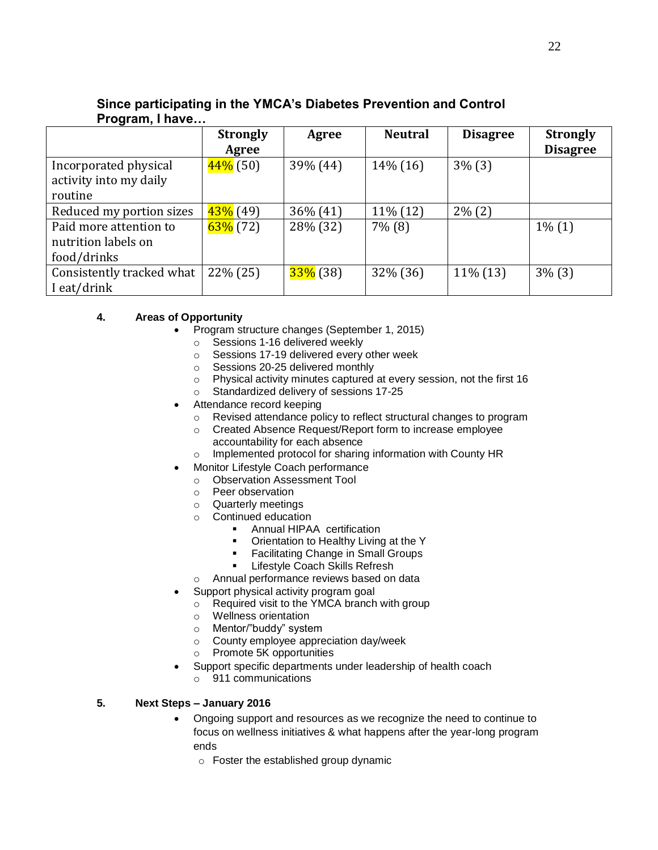#### **Strongly Agree Agree Neutral Disagree Strongly Disagree** Incorporated physical activity into my daily routine  $\frac{44\%}{150}$  (50)  $\frac{139\%}{44}$  (44)  $\frac{14\%}{16}$  (16)  $\frac{13\%}{3}$ Reduced my portion sizes  $43\%$  (49)  $36\%$  (41) 11% (12) 2% (2) Paid more attention to nutrition labels on food/drinks  $\frac{63\%}{1\%}$  (72) 28% (32) 7% (8)  $\qquad$  1% (1) Consistently tracked what I eat/drink  $22\% (25)$   $|33\% (38)$   $|32\% (36)$   $|11\% (13)$   $|3\% (3)$

# **Since participating in the YMCA's Diabetes Prevention and Control Program, I have…**

#### **4. Areas of Opportunity**

- Program structure changes (September 1, 2015)
	- o Sessions 1-16 delivered weekly
	- o Sessions 17-19 delivered every other week
	- o Sessions 20-25 delivered monthly
	- o Physical activity minutes captured at every session, not the first 16
	- o Standardized delivery of sessions 17-25
- Attendance record keeping
	- o Revised attendance policy to reflect structural changes to program
	- o Created Absence Request/Report form to increase employee accountability for each absence
	- o Implemented protocol for sharing information with County HR
- Monitor Lifestyle Coach performance
	- o Observation Assessment Tool<br>
	o Peer observation
	- Peer observation
	- o Quarterly meetings
	- o Continued education
		- Annual HIPAA certification
		- Orientation to Healthy Living at the Y
		- **EXEC** Facilitating Change in Small Groups
		- Lifestyle Coach Skills Refresh
	- o Annual performance reviews based on data
- Support physical activity program goal
	- o Required visit to the YMCA branch with group
	- o Wellness orientation
	- o Mentor/"buddy" system
	- o County employee appreciation day/week
	- o Promote 5K opportunities
- Support specific departments under leadership of health coach
	- o 911 communications

#### **5. Next Steps – January 2016**

- Ongoing support and resources as we recognize the need to continue to focus on wellness initiatives & what happens after the year-long program ends
	- o Foster the established group dynamic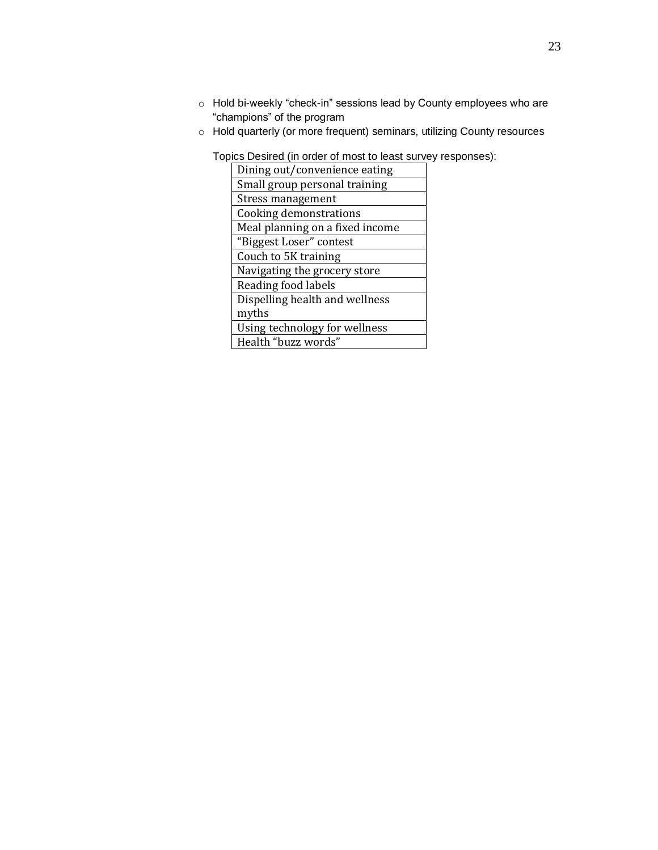- o Hold bi-weekly "check-in" sessions lead by County employees who are "champions" of the program
- o Hold quarterly (or more frequent) seminars, utilizing County resources

Topics Desired (in order of most to least survey responses):

| Dining out/convenience eating   |  |  |
|---------------------------------|--|--|
| Small group personal training   |  |  |
| Stress management               |  |  |
| Cooking demonstrations          |  |  |
| Meal planning on a fixed income |  |  |
| "Biggest Loser" contest         |  |  |
| Couch to 5K training            |  |  |
| Navigating the grocery store    |  |  |
| Reading food labels             |  |  |
| Dispelling health and wellness  |  |  |
| myths                           |  |  |
| Using technology for wellness   |  |  |
| Health "buzz words"             |  |  |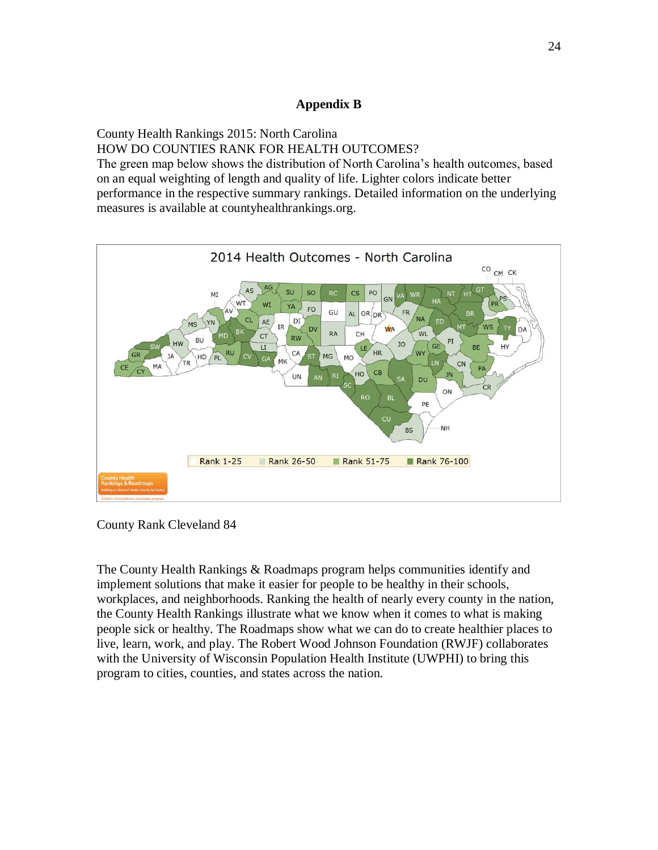#### **Appendix B**

# County Health Rankings 2015: North Carolina HOW DO COUNTIES RANK FOR HEALTH OUTCOMES?

The green map below shows the distribution of North Carolina's health outcomes, based on an equal weighting of length and quality of life. Lighter colors indicate better performance in the respective summary rankings. Detailed information on the underlying measures is available at countyhealthrankings.org.



County Rank Cleveland 84

The County Health Rankings & Roadmaps program helps communities identify and implement solutions that make it easier for people to be healthy in their schools, workplaces, and neighborhoods. Ranking the health of nearly every county in the nation, the County Health Rankings illustrate what we know when it comes to what is making people sick or healthy. The Roadmaps show what we can do to create healthier places to live, learn, work, and play. The Robert Wood Johnson Foundation (RWJF) collaborates with the University of Wisconsin Population Health Institute (UWPHI) to bring this program to cities, counties, and states across the nation.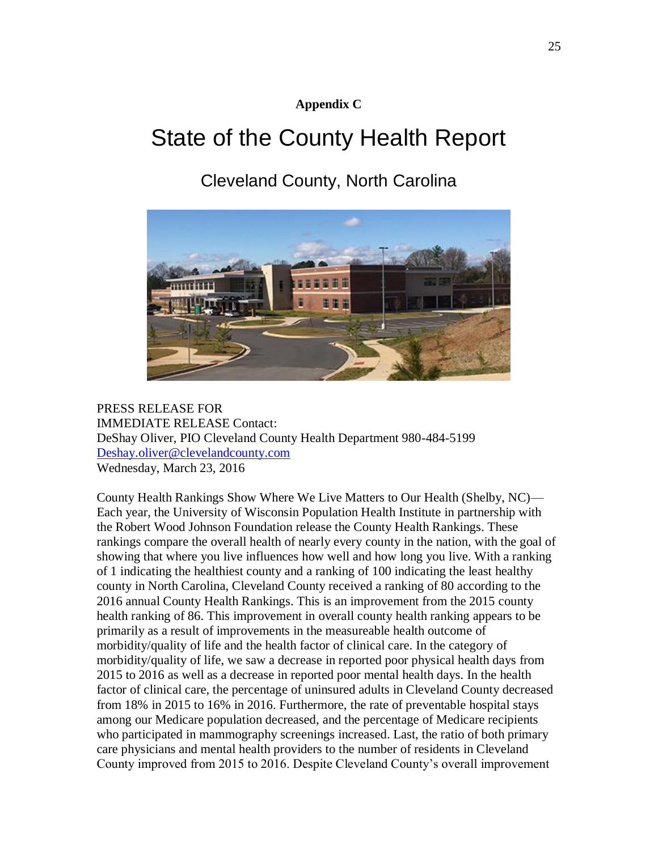# **Appendix C**

# State of the County Health Report

# Cleveland County, North Carolina



PRESS RELEASE FOR IMMEDIATE RELEASE Contact: DeShay Oliver, PIO Cleveland County Health Department 980-484-5199 [Deshay.oliver@clevelandcounty.com](mailto:Deshay.oliver@clevelandcounty.com) Wednesday, March 23, 2016

County Health Rankings Show Where We Live Matters to Our Health (Shelby, NC)— Each year, the University of Wisconsin Population Health Institute in partnership with the Robert Wood Johnson Foundation release the County Health Rankings. These rankings compare the overall health of nearly every county in the nation, with the goal of showing that where you live influences how well and how long you live. With a ranking of 1 indicating the healthiest county and a ranking of 100 indicating the least healthy county in North Carolina, Cleveland County received a ranking of 80 according to the 2016 annual County Health Rankings. This is an improvement from the 2015 county health ranking of 86. This improvement in overall county health ranking appears to be primarily as a result of improvements in the measureable health outcome of morbidity/quality of life and the health factor of clinical care. In the category of morbidity/quality of life, we saw a decrease in reported poor physical health days from 2015 to 2016 as well as a decrease in reported poor mental health days. In the health factor of clinical care, the percentage of uninsured adults in Cleveland County decreased from 18% in 2015 to 16% in 2016. Furthermore, the rate of preventable hospital stays among our Medicare population decreased, and the percentage of Medicare recipients who participated in mammography screenings increased. Last, the ratio of both primary care physicians and mental health providers to the number of residents in Cleveland County improved from 2015 to 2016. Despite Cleveland County's overall improvement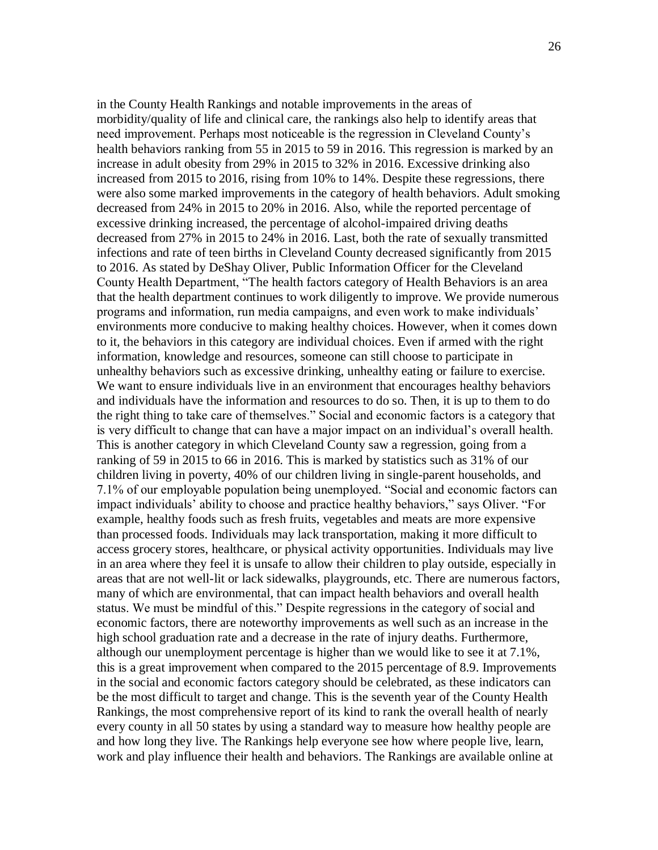in the County Health Rankings and notable improvements in the areas of morbidity/quality of life and clinical care, the rankings also help to identify areas that need improvement. Perhaps most noticeable is the regression in Cleveland County's health behaviors ranking from 55 in 2015 to 59 in 2016. This regression is marked by an increase in adult obesity from 29% in 2015 to 32% in 2016. Excessive drinking also increased from 2015 to 2016, rising from 10% to 14%. Despite these regressions, there were also some marked improvements in the category of health behaviors. Adult smoking decreased from 24% in 2015 to 20% in 2016. Also, while the reported percentage of excessive drinking increased, the percentage of alcohol-impaired driving deaths decreased from 27% in 2015 to 24% in 2016. Last, both the rate of sexually transmitted infections and rate of teen births in Cleveland County decreased significantly from 2015 to 2016. As stated by DeShay Oliver, Public Information Officer for the Cleveland County Health Department, "The health factors category of Health Behaviors is an area that the health department continues to work diligently to improve. We provide numerous programs and information, run media campaigns, and even work to make individuals' environments more conducive to making healthy choices. However, when it comes down to it, the behaviors in this category are individual choices. Even if armed with the right information, knowledge and resources, someone can still choose to participate in unhealthy behaviors such as excessive drinking, unhealthy eating or failure to exercise. We want to ensure individuals live in an environment that encourages healthy behaviors and individuals have the information and resources to do so. Then, it is up to them to do the right thing to take care of themselves." Social and economic factors is a category that is very difficult to change that can have a major impact on an individual's overall health. This is another category in which Cleveland County saw a regression, going from a ranking of 59 in 2015 to 66 in 2016. This is marked by statistics such as 31% of our children living in poverty, 40% of our children living in single-parent households, and 7.1% of our employable population being unemployed. "Social and economic factors can impact individuals' ability to choose and practice healthy behaviors," says Oliver. "For example, healthy foods such as fresh fruits, vegetables and meats are more expensive than processed foods. Individuals may lack transportation, making it more difficult to access grocery stores, healthcare, or physical activity opportunities. Individuals may live in an area where they feel it is unsafe to allow their children to play outside, especially in areas that are not well-lit or lack sidewalks, playgrounds, etc. There are numerous factors, many of which are environmental, that can impact health behaviors and overall health status. We must be mindful of this." Despite regressions in the category of social and economic factors, there are noteworthy improvements as well such as an increase in the high school graduation rate and a decrease in the rate of injury deaths. Furthermore, although our unemployment percentage is higher than we would like to see it at 7.1%, this is a great improvement when compared to the 2015 percentage of 8.9. Improvements in the social and economic factors category should be celebrated, as these indicators can be the most difficult to target and change. This is the seventh year of the County Health Rankings, the most comprehensive report of its kind to rank the overall health of nearly every county in all 50 states by using a standard way to measure how healthy people are and how long they live. The Rankings help everyone see how where people live, learn, work and play influence their health and behaviors. The Rankings are available online at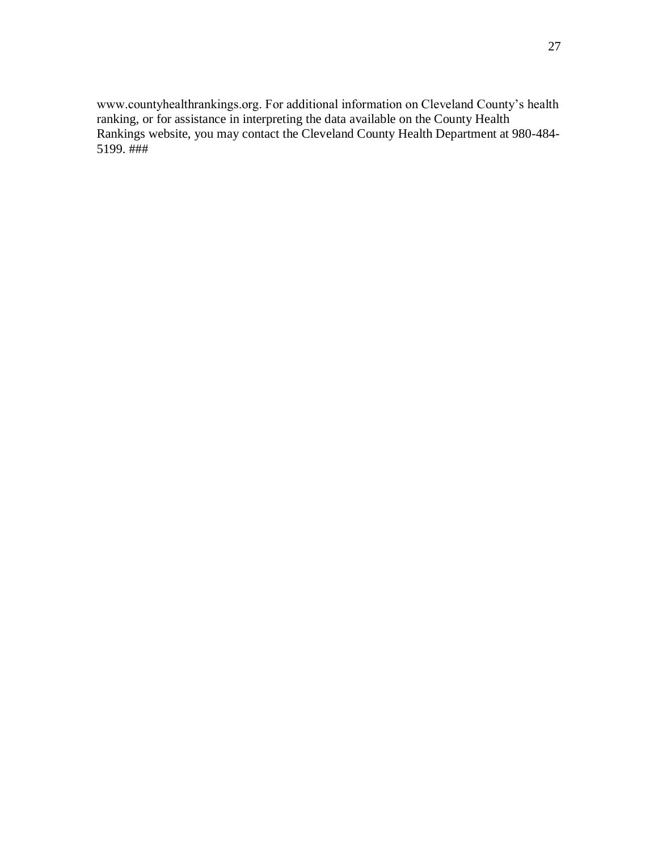www.countyhealthrankings.org. For additional information on Cleveland County's health ranking, or for assistance in interpreting the data available on the County Health Rankings website, you may contact the Cleveland County Health Department at 980-484-  $5199.$ ###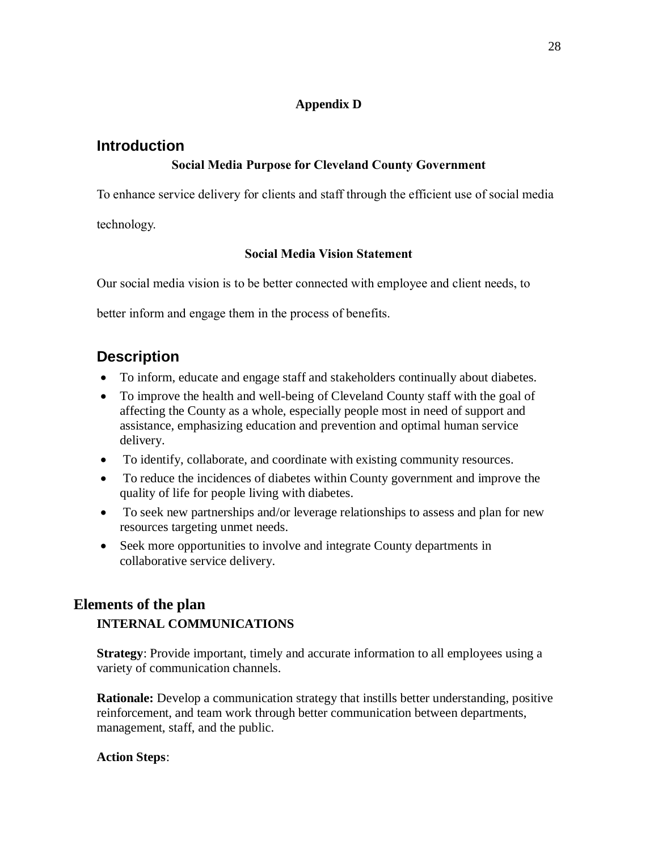# **Appendix D**

# **Introduction**

# **Social Media Purpose for Cleveland County Government**

To enhance service delivery for clients and staff through the efficient use of social media

technology.

# **Social Media Vision Statement**

Our social media vision is to be better connected with employee and client needs, to

better inform and engage them in the process of benefits.

# **Description**

- To inform, educate and engage staff and stakeholders continually about diabetes.
- To improve the health and well-being of Cleveland County staff with the goal of affecting the County as a whole, especially people most in need of support and assistance, emphasizing education and prevention and optimal human service delivery.
- To identify, collaborate, and coordinate with existing community resources.
- To reduce the incidences of diabetes within County government and improve the quality of life for people living with diabetes.
- To seek new partnerships and/or leverage relationships to assess and plan for new resources targeting unmet needs.
- Seek more opportunities to involve and integrate County departments in collaborative service delivery.

# **Elements of the plan INTERNAL COMMUNICATIONS**

**Strategy**: Provide important, timely and accurate information to all employees using a variety of communication channels.

**Rationale:** Develop a communication strategy that instills better understanding, positive reinforcement, and team work through better communication between departments, management, staff, and the public.

# **Action Steps**: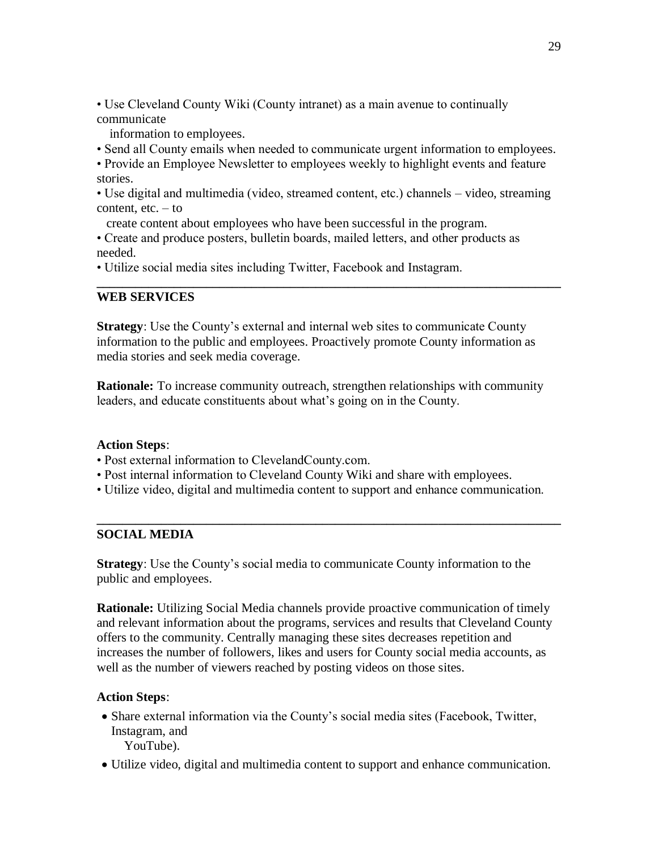• Use Cleveland County Wiki (County intranet) as a main avenue to continually communicate

information to employees.

- Send all County emails when needed to communicate urgent information to employees.
- Provide an Employee Newsletter to employees weekly to highlight events and feature stories.
- Use digital and multimedia (video, streamed content, etc.) channels video, streaming content,  $etc. - to$

**\_\_\_\_\_\_\_\_\_\_\_\_\_\_\_\_\_\_\_\_\_\_\_\_\_\_\_\_\_\_\_\_\_\_\_\_\_\_\_\_\_\_\_\_\_\_\_\_\_\_\_\_\_\_\_\_\_\_\_\_\_\_\_\_\_\_\_\_\_\_\_\_**

- create content about employees who have been successful in the program.
- Create and produce posters, bulletin boards, mailed letters, and other products as needed.

• Utilize social media sites including Twitter, Facebook and Instagram.

#### **WEB SERVICES**

**Strategy**: Use the County's external and internal web sites to communicate County information to the public and employees. Proactively promote County information as media stories and seek media coverage.

**Rationale:** To increase community outreach, strengthen relationships with community leaders, and educate constituents about what's going on in the County.

#### **Action Steps**:

- Post external information to ClevelandCounty.com.
- Post internal information to Cleveland County Wiki and share with employees.
- Utilize video, digital and multimedia content to support and enhance communication.

**\_\_\_\_\_\_\_\_\_\_\_\_\_\_\_\_\_\_\_\_\_\_\_\_\_\_\_\_\_\_\_\_\_\_\_\_\_\_\_\_\_\_\_\_\_\_\_\_\_\_\_\_\_\_\_\_\_\_\_\_\_\_\_\_\_\_\_\_\_\_\_\_**

## **SOCIAL MEDIA**

**Strategy**: Use the County's social media to communicate County information to the public and employees.

**Rationale:** Utilizing Social Media channels provide proactive communication of timely and relevant information about the programs, services and results that Cleveland County offers to the community. Centrally managing these sites decreases repetition and increases the number of followers, likes and users for County social media accounts, as well as the number of viewers reached by posting videos on those sites.

#### **Action Steps**:

- Share external information via the County's social media sites (Facebook, Twitter, Instagram, and
	- YouTube).
- Utilize video, digital and multimedia content to support and enhance communication.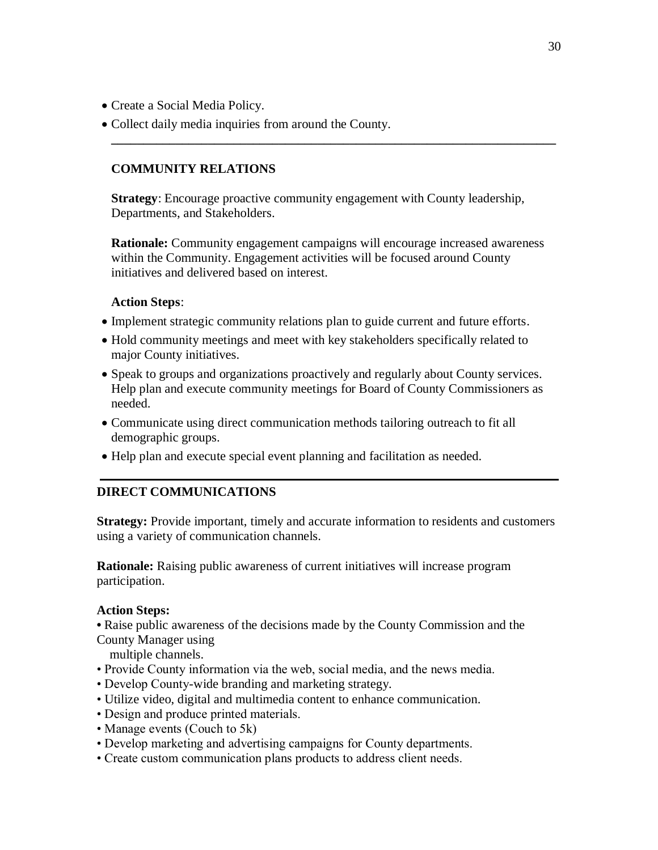- Create a Social Media Policy.
- Collect daily media inquiries from around the County.

#### **COMMUNITY RELATIONS**

**Strategy**: Encourage proactive community engagement with County leadership, Departments, and Stakeholders.

**Rationale:** Community engagement campaigns will encourage increased awareness within the Community. Engagement activities will be focused around County initiatives and delivered based on interest.

**\_\_\_\_\_\_\_\_\_\_\_\_\_\_\_\_\_\_\_\_\_\_\_\_\_\_\_\_\_\_\_\_\_\_\_\_\_\_\_\_\_\_\_\_\_\_\_\_\_\_\_\_\_\_\_\_\_\_\_\_\_\_\_\_\_\_\_\_\_**

#### **Action Steps**:

- Implement strategic community relations plan to guide current and future efforts.
- Hold community meetings and meet with key stakeholders specifically related to major County initiatives.
- Speak to groups and organizations proactively and regularly about County services. Help plan and execute community meetings for Board of County Commissioners as needed.
- Communicate using direct communication methods tailoring outreach to fit all demographic groups.
- Help plan and execute special event planning and facilitation as needed.

#### **DIRECT COMMUNICATIONS**

**Strategy:** Provide important, timely and accurate information to residents and customers using a variety of communication channels.

**Rationale:** Raising public awareness of current initiatives will increase program participation.

#### **Action Steps:**

**•** Raise public awareness of the decisions made by the County Commission and the County Manager using

multiple channels.

- Provide County information via the web, social media, and the news media.
- Develop County-wide branding and marketing strategy.
- Utilize video, digital and multimedia content to enhance communication.
- Design and produce printed materials.
- Manage events (Couch to 5k)
- Develop marketing and advertising campaigns for County departments.
- Create custom communication plans products to address client needs.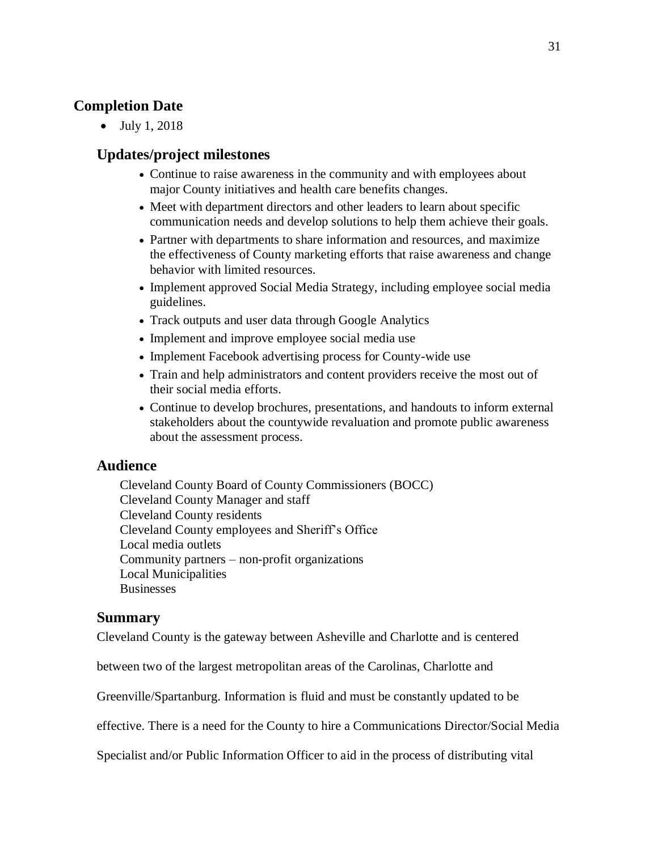# **Completion Date**

• July 1, 2018

# **Updates/project milestones**

- Continue to raise awareness in the community and with employees about major County initiatives and health care benefits changes.
- Meet with department directors and other leaders to learn about specific communication needs and develop solutions to help them achieve their goals.
- Partner with departments to share information and resources, and maximize the effectiveness of County marketing efforts that raise awareness and change behavior with limited resources.
- Implement approved Social Media Strategy, including employee social media guidelines.
- Track outputs and user data through Google Analytics
- Implement and improve employee social media use
- Implement Facebook advertising process for County-wide use
- Train and help administrators and content providers receive the most out of their social media efforts.
- Continue to develop brochures, presentations, and handouts to inform external stakeholders about the countywide revaluation and promote public awareness about the assessment process.

## **Audience**

Cleveland County Board of County Commissioners (BOCC) Cleveland County Manager and staff Cleveland County residents Cleveland County employees and Sheriff's Office Local media outlets Community partners – non-profit organizations Local Municipalities **Businesses** 

## **Summary**

Cleveland County is the gateway between Asheville and Charlotte and is centered

between two of the largest metropolitan areas of the Carolinas, Charlotte and

Greenville/Spartanburg. Information is fluid and must be constantly updated to be

effective. There is a need for the County to hire a Communications Director/Social Media

Specialist and/or Public Information Officer to aid in the process of distributing vital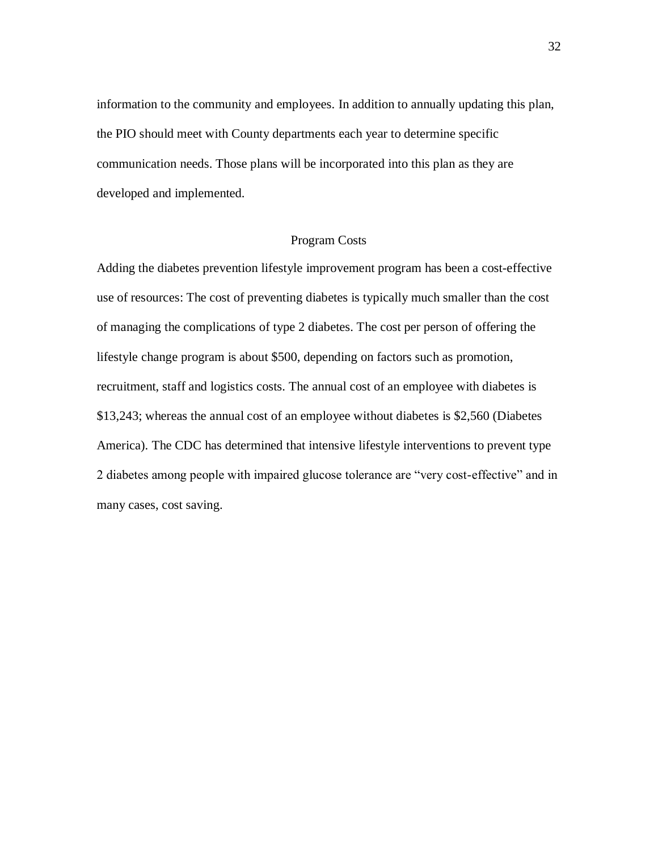information to the community and employees. In addition to annually updating this plan, the PIO should meet with County departments each year to determine specific communication needs. Those plans will be incorporated into this plan as they are developed and implemented.

#### Program Costs

Adding the diabetes prevention lifestyle improvement program has been a cost-effective use of resources: The cost of preventing diabetes is typically much smaller than the cost of managing the complications of type 2 diabetes. The cost per person of offering the lifestyle change program is about \$500, depending on factors such as promotion, recruitment, staff and logistics costs. The annual cost of an employee with diabetes is \$13,243; whereas the annual cost of an employee without diabetes is \$2,560 (Diabetes America). The CDC has determined that intensive lifestyle interventions to prevent type 2 diabetes among people with impaired glucose tolerance are "very cost-effective" and in many cases, cost saving.